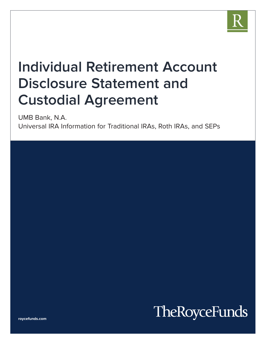

# **Individual Retirement Account Disclosure Statement and Custodial Agreement**

UMB Bank, N.A.

Universal IRA Information for Traditional IRAs, Roth IRAs, and SEPs

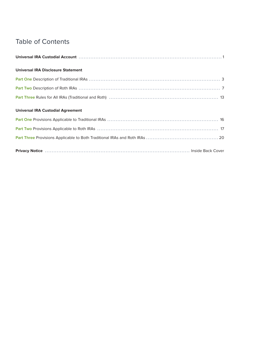# Table of Contents

| <b>Universal IRA Disclosure Statement</b> |  |
|-------------------------------------------|--|
|                                           |  |
|                                           |  |
|                                           |  |
| <b>Universal IRA Custodial Agreement</b>  |  |
|                                           |  |
|                                           |  |
|                                           |  |
|                                           |  |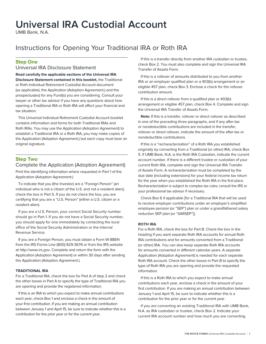# **Universal IRA Custodial Account**

UMB Bank, N.A.

# Instructions for Opening Your Traditional IRA or Roth IRA

## **Step One**

### Universal IRA Disclosure Statement

**Read carefully the applicable sections of the Universal IRA Disclosure Statement contained in this booklet,** the Traditional or Roth Individual Retirement Custodial Account document (as applicable), the Application (Adoption Agreement,) and the prospectus(es) for any Fund(s) you are considering. Consult your lawyer or other tax advisor if you have any questions about how opening a Traditional IRA or Roth IRA will affect your financial and tax situation.

This Universal Individual Retirement Custodial Account booklet contains information and forms for both Traditional IRAs and Roth IRAs. You may use the Application (Adoption Agreement) to establish a Traditional IRA or a Roth IRA; you may make copies of the Application (Adoption Agreement,) but each copy must bear an original signature.

## **Step Two**

### Complete the Application (Adoption Agreement)

Print the identifying information where requested in Part 1 of the Application (Adoption Agreement.)

To indicate that you (the Investor) are a "Foreign Person" (an individual who is not a citizen of the U.S. and not a resident alien), check the box in Part 5. If you do not check the box, you are certifying that you are a "U.S. Person" (either a U.S. citizen or a resident alien).

If you are a U.S. Person, your correct Social Security number should go in Part 1. If you do not have a Social Security number, you should apply for one immediately by contacting the local office of the Social Security Administration or the Internal Revenue Service.

If you are a Foreign Person, you must obtain a Form W-8BEN from the IRS Forms Line (800) 829-3676 or from the IRS website at http://www.irs.gov. Complete and return the form with the Application (Adoption Agreement) or within 30 days after sending the Application (Adoption Agreement.)

#### **TRADITIONAL IRA**

For a Traditional IRA, check the box for Part A of step 2 and check the other boxes in Part A to specify the type of Traditional IRA you are opening and provide the registered information.

If this is an IRA to which you expect to make annual contributions each year, check Box 1 and enclose a check in the amount of your first contribution. If you are making an annual contribution between January 1 and April 15, be sure to indicate whether this is a contribution for the prior year or for the current year.

If this is a transfer directly from another IRA custodian or trustee, check Box 2. You must also complete and sign the Universal IRA Transfer of Assets Form.

If this is a rollover of amounts distributed to you from another IRA or an employer qualified plan or a 403(b) arrangement or an eligible 457 plan, check Box 3. Enclose a check for the rollover contribution amount.

If this is a direct rollover from a qualified plan or 403(b) arrangement or eligible 457 plan, check Box 4. Complete and sign the Universal IRA Transfer of Assets Form.

**Note:** If this is a transfer, rollover or direct rollover as described in one of the preceding three paragraphs, and if any after-tax or nondeductible contributions are included in the transfer, rollover or direct rollover, indicate the amount of the after-tax or nondeductible contributions.

If this is a "recharacterization" of a Roth IRA you established originally by converting from a Traditional (or other) IRA, check Box 5. If UMB Bank, N.A. is the Roth IRA Custodian, indicate the current account number. If there is a different trustee or custodian of your current Roth IRA, complete and sign the Universal IRA Transfer of Assets Form. A recharacterization must be completed by the due date (including extensions) for your federal income tax return for the year when you established the Roth IRA in the first place. Recharacterization is subject to complex tax rules; consult the IRS or your professional tax advisor if necessary.

Check Box 6 if applicable [for a Traditional IRA that will be used to receive employer contributions under an employer's simplified employee pension (or "SEP") plan or under a grandfathered salary reduction SEP plan (or "SARSEP")].

#### **ROTH IRA**

For a Roth IRA, check the box for Part B. Check the box in the heading if you want separate Roth IRA accounts for annual Roth IRA contributions and for amounts converted from a Traditional (or other) IRA. You can also keep separate Roth IRA accounts for amounts converted in different calendar years. A separate Application (Adoption Agreement) is needed for each separate Roth IRA account. Check the other boxes in Part B to specify the type of Roth IRA you are opening and provide the requested information.

If this is a Roth IRA to which you expect to make annual contributions each year, enclose a check in the amount of your first contribution. If you are making an annual contribution between January 1 and April 15, be sure to indicate whether this is a contribution for the prior year or for the current year.

If you are converting an existing Traditional IRA with UMB Bank, N.A. as IRA custodian or trustee, check Box 2. Indicate your current IRA account number and how much you are converting.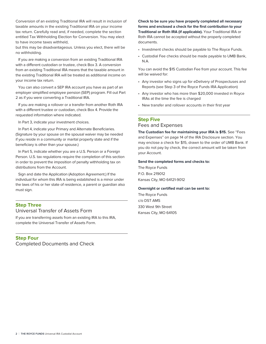Conversion of an existing Traditional IRA will result in inclusion of taxable amounts in the existing Traditional IRA on your income tax return. Carefully read and, if needed, complete the section entitled Tax Withholding Election for Conversion. You may elect to have income taxes withheld,

but this may be disadvantageous. Unless you elect, there will be no withholding.

If you are making a conversion from an existing Traditional IRA with a different custodian or trustee, check Box 3. A conversion from an existing Traditional IRA means that the taxable amount in the existing Traditional IRA will be treated as additional income on your income tax return.

You can also convert a SEP IRA account you have as part of an employer simplified employee pension (SEP) program. Fill out Part 2 as if you were converting a Traditional IRA.

If you are making a rollover or a transfer from another Roth IRA with a different trustee or custodian, check Box 4. Provide the requested information where indicated.

In Part 3, indicate your investment choices.

In Part 4, indicate your Primary and Alternate Beneficiaries. (Signature by your spouse on the spousal waiver may be needed if you reside in a community or marital property state and if the beneficiary is other than your spouse.)

In Part 5, indicate whether you are a U.S. Person or a Foreign Person. U.S. tax regulations require the completion of this section in order to prevent the imposition of penalty withholding tax on distributions from the Account.

Sign and date the Application (Adoption Agreement.) If the individual for whom this IRA is being established is a minor under the laws of his or her state of residence, a parent or guardian also must sign.

### **Step Three** Universal Transfer of Assets Form

If you are transferring assets from an existing IRA to this IRA, complete the Universal Transfer of Assets Form.

**Step Four** Completed Documents and Check **Check to be sure you have properly completed all necessary forms and enclosed a check for the first contribution to your Traditional or Roth IRA (if applicable).** Your Traditional IRA or Roth IRA cannot be accepted without the properly completed documents.

- Investment checks should be payable to The Royce Funds.
- Custodial Fee checks should be made payable to UMB Bank, N.A.

You can avoid the \$15 Custodian Fee from your account. This fee will be waived for:

- Any investor who signs up for eDelivery of Prospectuses and Reports (see Step 3 of the Royce Funds IRA Application)
- Any investor who has more than \$20,000 invested in Royce IRAs at the time the fee is charged
- New transfer and rollover accounts in their first year

#### **Step Five**

#### Fees and Expenses

**The Custodian fee for maintaining your IRA is \$15.** See "Fees and Expenses" on page 14 of the IRA Disclosure section. You may enclose a check for \$15, drawn to the order of UMB Bank. If you do not pay by check, the correct amount will be taken from your Account.

#### **Send the completed forms and checks to:**

The Royce Funds P.O. Box 219012 Kansas City, MO 64121-9012

#### **Overnight or certified mail can be sent to:**

The Royce Funds c/o DST AMS 330 West 9th Street Kansas City, MO 64105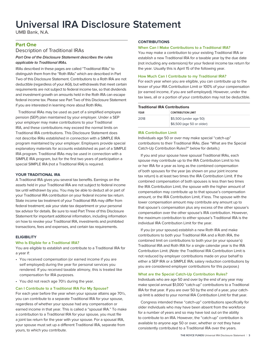# **Universal IRA Disclosure Statement**

UMB Bank, N.A.

### **Part One**

### Description of Traditional IRAs

#### **Part One of the Disclosure Statement describes the rules applicable to Traditional IRAs.**

IRAs described in these pages are called "Traditional IRAs" to distinguish them from the "Roth IRAs" which are described in Part Two of this Disclosure Statement. Contributions to a Roth IRA are not deductible (regardless of your AGI), but withdrawals that meet certain requirements are not subject to federal income tax, so that dividends and investment growth on amounts held in the Roth IRA can escape federal income tax. Please see Part Two of this Disclosure Statement if you are interested in learning more about Roth IRAs.

Traditional IRAs may be used as part of a simplified employee pension (SEP) plan maintained by your employer. Under a SEP your employer may make contributions to your Traditional IRA, and these contributions may exceed the normal limits on Traditional IRA contributions. This Disclosure Statement does not describe IRAs established in connection with a SIMPLE IRA program maintained by your employer. Employers provide special explanatory materials for accounts established as part of a SIMPLE IRA program. Traditional IRAs may be used in connection with a SIMPLE IRA program, but for the first two years of participation a special SIMPLE IRA (not a Traditional IRA) is required.

#### **YOUR TRADITIONAL IRA**

A Traditional IRA gives you several tax benefits. Earnings on the assets held in your Traditional IRA are not subject to federal income tax until withdrawn by you. You may be able to deduct all or part of your Traditional IRA contribution on your federal income tax return. State income tax treatment of your Traditional IRA may differ from federal treatment; ask your state tax department or your personal tax advisor for details. Be sure to read Part Three of this Disclosure Statement for important additional information, including information on how to revoke your Traditional IRA, investments and prohibited transactions, fees and expenses, and certain tax requirements.

#### **ELIGIBILITY**

#### **Who Is Eligible for a Traditional IRA?**

You are eligible to establish and contribute to a Traditional IRA for a year if:

- You received compensation (or earned income if you are self employed) during the year for personal services you rendered. If you received taxable alimony, this is treated like compensation for IRA purposes.
- You did not reach age 70½ during the year.

#### **Can I Contribute to a Traditional IRA For My Spouse?**

For each year before the year when your spouse attains age 70½, you can contribute to a separate Traditional IRA for your spouse, regardless of whether your spouse had any compensation or earned income in that year. This is called a "spousal IRA." To make a contribution to a Traditional IRA for your spouse, you must file a joint tax return for the year with your spouse. For a spousal IRA, your spouse must set up a different Traditional IRA, separate from yours, to which you contribute.

#### **CONTRIBUTIONS**

#### **When Can I Make Contributions to a Traditional IRA?**

You may make a contribution to your existing Traditional IRA or establish a new Traditional IRA for a taxable year by the due date (not including any extensions) for your federal income tax return for the year. Usually this is April 15 of the following year.

#### **How Much Can I Contribute to my Traditional IRA?**

For each year when you are eligible, you can contribute up to the lesser of your IRA Contribution Limit or 100% of your compensation (or earned income, if you are self-employed). However, under the tax laws, all or a portion of your contribution may not be deductible.

| <b>Traditional IRA Contributions</b> |                                                     |  |
|--------------------------------------|-----------------------------------------------------|--|
| YEAR                                 | <b>CONTRIBUTION LIMIT</b>                           |  |
| 2018                                 | \$5,500 (under age 50)<br>\$6,500 (age 50 or older) |  |

#### **IRA Contribution Limit**

Individuals age 50 or over may make special "catch-up" contributions to their Traditional IRAs. (See "What are the Special Catch-Up Contribution Rules?" below for details.)

If you and your spouse have spousal Traditional IRAs, each spouse may contribute up to the IRA Contribution Limit to his or her IRA for a year as long as the combined compensation of both spouses for the year (as shown on your joint income tax return) is at least two times the IRA Contribution Limit. If the combined compensation of both spouses is less than two times the IRA Contribution Limit, the spouse with the higher amount of compensation may contribute up to that spouse's compensation amount, or the IRA Contribution Limit, if less. The spouse with the lower compensation amount may contribute any amount up to that spouse's compensation plus any excess of the other spouse's compensation over the other spouse's IRA contribution. However, the maximum contribution to either spouse's Traditional IRA is the individual IRA Contribution Limit for the year.

If you (or your spouse) establish a new Roth IRA and make contributions to both your Traditional IRA and a Roth IRA, the combined limit on contributions to both your (or your spouse's) Traditional IRA and Roth IRA for a single calendar year is the IRA Contribution Limit. (Note: the Traditional IRA Contribution Limit is not reduced by employer contributions made on your behalf to either a SEP IRA or a SIMPLE IRA; salary reduction contributions by you are considered employer contributions for this purpose.)

#### **What are the Special Catch-Up Contribution Rules?**

Individuals who are age 50 and over by the end of any year may make special annual \$1,000 "catch-up" contributions to a Traditional IRA for that year. If you are over 50 by the end of a year, your catchup limit is added to your normal IRA Contribution Limit for that year.

Congress intended these "catch-up" contributions specifically for older individuals who may have been absent from the workforce for a number of years and so may have lost out on the ability to contribute to an IRA. However, the "catch-up" contribution is available to anyone age 50 or over, whether or not they have consistently contributed to a Traditional IRA over the years.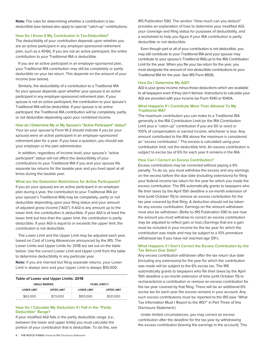**Note:** The rules for determining whether a contribution is taxdeductible (see below) also apply to special "catch-up" contributions.

#### **How Do I Know If My Contribution Is Tax-Deductible?**

The deductibility of your contribution depends upon whether you are an active participant in any employer-sponsored retirement plan, such as a 401(k). If you are not an active participant, the entire contribution to your Traditional IRA is deductible.

If you are an active participant in an employer-sponsored plan, your Traditional IRA contribution may still be completely or partly deductible on your tax return. This depends on the amount of your income (see below).

Similarly, the deductibility of a contribution to a Traditional IRA for your spouse depends upon whether your spouse is an active participant in any employer-sponsored retirement plan. If your spouse is not an active participant, the contribution to your spouse's Traditional IRA will be deductible. If your spouse is an active participant, the Traditional IRA contribution will be completely, partly or not deductible depending upon your combined income.

#### **How do I Determine My or My Spouse's "Active Participant" status?**

Your (or your spouse's) Form W-2 should indicate if you (or your spouse) were an active participant in an employer-sponsored retirement plan for a year. If you have a question, you should ask your employer or the plan administrator.

In addition, regardless of income level, your spouse's "active participant" status will not affect the deductibility of your contributions to your Traditional IRA if you and your spouse file separate tax returns for the taxable year and you lived apart at all times during the taxable year.

#### **What are the Deduction Restrictions for Active Participants?**

If you (or your spouse) are an active participant in an employer plan during a year, the contribution to your Traditional IRA (or your spouse's Traditional IRA) may be completely, partly or not deductible depending upon your filing status and your amount of adjusted gross income ("AGI"). If AGI is any amount up to the lower limit, the contribution is deductible. If your AGI is at least the lower limit but less than the upper limit, the contribution is partly deductible. If your AGI is equal to or exceeds the upper limit, the contribution is not deductible.

The Lower Limit and the Upper Limit may be adjusted each year, based on Cost of Living Allowances announced by the IRS. The Lower Limits and Upper Limits for 2018 are set out on the table below. Use the correct Lower Limit and Upper Limit from the table to determine deductibility in any particular year.

**Note:** if you are married but filing separate returns, your Lower Limit is always zero and your Upper Limit is always \$10,000.

| Table of Lower and Upper Limits: 2018 |                    |                       |                    |
|---------------------------------------|--------------------|-----------------------|--------------------|
| <b>SINGLE MARRIED</b>                 |                    | <b>FILING JOINTLY</b> |                    |
| <b>LOWER LIMIT</b>                    | <b>UPPER LIMIT</b> | <b>LOWER LIMIT</b>    | <b>UPPER LIMIT</b> |
| \$63,000                              | \$73,000           | \$101,000             | \$121,000          |

#### **How Do I Calculate My Deduction if I Fall in the "Partly Deductible" Range?**

If your modified AGI falls in the partly deductible range, (i.e., between the lower and upper limits) you must calculate the portion of your contribution that is deductible. To do this, see

**4** | **THE ROYCE FUNDS** Universal IRA Disclosure Statement

IRS Publication 590. The section "How much can you deduct" provides an explanation of how to determine your modified AGI, your coverage and filing status for purposes of deductibility, and a worksheet to help you figure if your IRA contribution is partly deductible or not deductible.

Even though part or all of your contribution is not deductible, you may still contribute to your Traditional IRA (and your spouse may contribute to your spouse's Traditional IRA) up to the IRA Contribution Limit for the year. When you file your tax return for the year, you must designate the amount of non-deductible contributions to your Traditional IRA for the year. See IRS Form 8606.

#### **How Do I Determine My AGI?**

AGI is your gross income minus those deductions which are available to all taxpayers even if they don't itemize. Instructions to calculate your AGI are provided with your income tax Form 1040 or 1040A.

#### **What Happens If I Contribute More Than Allowed To My Traditional IRA?**

The maximum contribution you can make to a Traditional IRA generally is the IRA Contribution Limit (or the IRA Contribution Limit plus a "catch-up" contribution if you are 50 or over) or 100% of compensation or earned income, whichever is less. Any amount contributed to the IRA above the maximum is considered an "excess contribution." The excess is calculated using your contribution limit, not the deductible limit. An excess contribution is subject to excise tax of 6% for each year it remains in the IRA.

#### **How Can I Correct an Excess Contribution?**

Excess contributions may be corrected without paying a 6% penalty. To do so, you must withdraw the excess and any earnings on the excess before the due date (including extensions) for filing your federal income tax return for the year for which you made the excess contribution. The IRS automatically grants to taxpayers who file their taxes by the April 15th deadline a six-month extension of time (until October 15) to remove an excess contribution for the tax year covered by that filing. A deduction should not be taken for any excess contribution. Earnings on the amount withdrawn must also be withdrawn. (Refer to IRS Publication 590 to see how the amount you must withdraw to correct an excess contribution may be adjusted to reflect gain or loss.) Earnings that are a gain must be included in your income for the tax year for which the contribution was made and may be subject to a 10% premature withdrawal tax if you have not reached age 59½.

#### **What Happens if I Don't Correct the Excess Contribution by the Tax Return Due Date?**

Any excess contribution withdrawn after the tax return due date (including any extensions) for the year for which the contribution was made will be subject to the 6% excise tax. The IRS automatically grants to taxpayers who file their taxes by the April 15th deadline a six-month extension of time (until October 15) to recharacterize a contribution or remove an excess contribution for the tax year covered by that filing. There will be an additional 6% excise tax for each year the excess remains in your account. Any such excess contributions must be reported to the IRS (see "What Tax Information Must I Report to the IRS?" in Part Three of this Disclosure Statement.)

Under limited circumstances, you may correct an excess contribution after the deadline for the tax year by withdrawing the excess contribution (leaving the earnings in the account). This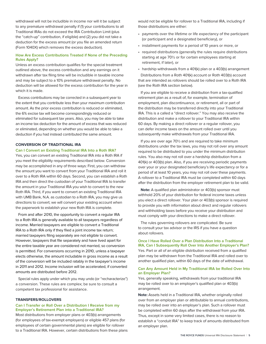withdrawal will not be includible in income nor will it be subject to any premature withdrawal penalty if (1) your contributions to all Traditional IRAs do not exceed the IRA Contribution Limit (plus the "catch-up" contribution, if eligible) and (2) you did not take a deduction for the excess amount (or you file an amended return (Form 1040X) which removes the excess deduction).

#### **How Are Excess Contributions Treated if None of the Preceding Rules Apply?**

Unless an excess contribution qualifies for the special treatment outlined above, the excess contribution and any earnings on it withdrawn after tax filing time will be includible in taxable income and may be subject to a 10% premature withdrawal penalty. No deduction will be allowed for the excess contribution for the year in which it is made.

Excess contributions may be corrected in a subsequent year to the extent that you contribute less than your maximum contribution amount. As the prior excess contribution is reduced or eliminated, the 6% excise tax will become correspondingly reduced or eliminated for subsequent tax years. Also, you may be able to take an income tax deduction for the amount of excess that was reduced or eliminated, depending on whether you would be able to take a deduction if you had instead contributed the same amount.

#### **CONVERSION OF TRADITIONAL IRA**

#### **Can I Convert an Existing Traditional IRA Into a Roth IRA?**

Yes, you can convert an existing Traditional IRA into a Roth IRA if you meet the eligibility requirements described below. Conversion may be accomplished in any of three ways: First, you can withdraw the amount you want to convert from your Traditional IRA and roll it over to a Roth IRA within 60 days. Second, you can establish a Roth IRA and then direct the custodian of your Traditional IRA to transfer the amount in your Traditional IRA you wish to convert to the new Roth IRA. Third, if you want to convert an existing Traditional IRA with UMB Bank, N.A. as custodian to a Roth IRA, you may give us directions to convert; we will convert your existing account when the paperwork to establish your new Roth IRA is complete.

From and after 2010, the opportunity to convert a regular IRA to a Roth IRA is generally available to all taxpayers regardless of income. Married taxpayers are eligible to convert a Traditional IRA to a Roth IRA only if they filed a joint income tax return; married taxpayers filing separately are not eligible to convert. However, taxpayers that file separately and have lived apart for the entire taxable year are considered not married, so conversion is permitted. For conversions occurring in 2010, unless a taxpayer elects otherwise, the amount includable in gross income as a result of the conversion will be included ratably in the taxpayer's income in 2011 and 2012. Income inclusion will be accelerated, if converted amounts are distributed before 2012.

Special rules apply under which you may undo (or "recharacterize") a conversion. These rules are complex; be sure to consult a competent tax professional for assistance.

#### **TRANSFERS/ROLLOVERS**

#### **Can I Transfer or Roll Over a Distribution I Receive from my Employer's Retirement Plan into a Traditional IRA?**

Most distributions from employer plans or 403(b) arrangements (for employees of tax-exempt employers) or eligible 457 plans (for employees of certain governmental plans) are eligible for rollover to a Traditional IRA. However, certain distributions from these plans would not be eligible for rollover to a Traditional IRA, including if those distributions are either:

- payments over the lifetime or life expectancy of the participant (or participant and a designated beneficiary), or
- installment payments for a period of 10 years or more, or
- required distributions (generally the rules require distributions starting at age 70½ or for certain employees starting at retirement, if later), or
- hardship withdrawals from a 401(k) plan or a 403(b) arrangement

Distributions from a Roth 401(k) account or Roth 403(b) account that are intended as rollovers should be rolled over to a Roth IRA (see the Roth IRA section below).

If you are eligible to receive a distribution from a tax-qualified retirement plan as a result of, for example, termination of employment, plan discontinuance, or retirement, all or part of the distribution may be transferred directly into your Traditional IRA. This is a called a "direct rollover." You may also receive the distribution and make a rollover to your Traditional IRA within 60 days. By making a direct rollover or a regular rollover, you can defer income taxes on the amount rolled over until you subsequently make withdrawals from your Traditional IRA.

If you are over age 70½ and are required to take minimum distributions under the tax laws, you may not roll over any amount required to be distributed to you under the minimum distribution rules. You also may not roll over a hardship distribution from a 401(k) or 403(b) plan. Also, if you are receiving periodic payments over your or your designated beneficiary's life expectancy or for a period of at least 10 years, you may not roll over these payments. A rollover to a Traditional IRA must be completed within 60 days after the distribution from the employer retirement plan to be valid.

**Note:** A qualified plan administrator or 403(b) sponsor must withhold 20% of your distribution for federal income taxes unless you elect a direct rollover. Your plan or 403(b) sponsor is required to provide you with information about direct and regular rollovers and withholding taxes before you receive your distribution and must comply with your directions to make a direct rollover.

The rules governing rollovers are complicated. Be sure to consult your tax advisor or the IRS if you have a question about rollovers.

**Once I Have Rolled Over a Plan Distribution Into a Traditional IRA, Can I Subsequently Roll Over Into Another Employer's Plan?** Yes. Part or all of an eligible distribution received from a qualified plan may be withdrawn from the Traditional IRA and rolled over to another qualified plan, within 60 days of the date of withdrawal.

#### **Can Any Amount Held in My Traditional IRA be Rolled Over Into an Employer Plan?**

Yes, generally speaking, withdrawals from your traditional IRA may be rolled over to an employer's qualified plan or 403(b) arrangement.

**Note:** Assets held in a Traditional IRA, whether originally rolled over from an employer plan or attributable to annual contributions, may be rolled over into an employer's plan. Such a rollover must be completed within 60 days after the withdrawal from your IRA. Thus, except in some very limited cases, there is no reason to establish a "conduit IRA" to keep track of amounts distributed from an employer plan.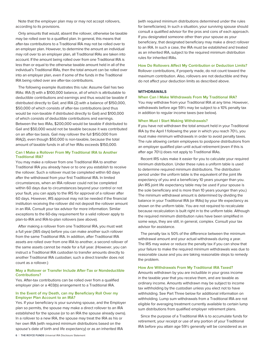Note that the employer plan may or may not accept rollovers, according to its provisions.

Only amounts that would, absent the rollover, otherwise be taxable may be rolled over to a qualified plan. In general, this means that after-tax contributions to a Traditional IRA may not be rolled over to an employer plan. However, to determine the amount an individual may roll over to an employer plan, all Traditional IRAs are taken into account. If the amount being rolled over from one Traditional IRA is less than or equal to the otherwise taxable amount held in all of the individual's Traditional IRAs, then the total amount can be rolled over into an employer plan, even if some of the funds in the Traditional IRA being rolled over are after-tax contributions.

The following example illustrates this rule: Assume Gail has two IRAs: IRA (1) with a \$100,000 balance, all of which is attributable to deductible contributions and earnings and thus would be taxable if distributed directly to Gail; and IRA (2) with a balance of \$150,000, \$50,000 of which consists of after-tax contributions (and thus would be non-taxable if distributed directly to Gail) and \$100,000 of which consists of deductible contributions and earnings. Between the two IRAs, \$200,000 would be taxable if distributed to Gail and \$50,000 would not be taxable because it was contributed on an after-tax basis. Gail may rollover the full \$150,000 from IRA(2), even though \$50,000 is non-taxable, because the total amount of taxable funds in all of her IRAs exceeds \$150,000.

#### **Can I Make a Rollover From My Traditional IRA to Another Traditional IRA?**

You may make a rollover from one Traditional IRA to another Traditional IRA you already have or to one you establish to receive the rollover. Such a rollover must be completed within 60 days after the withdrawal from your first Traditional IRA. In limited circumstances, when an IRA rollover could not be completed within 60 days due to circumstances beyond your control or not your fault, you can apply to the IRS for approval of a rollover after 60 days. However, IRS approval may not be needed if the financial institution receiving the rollover did not deposit the rollover amount in an IRA. Consult your tax advisor for more information. Similar exceptions to the 60-day requirement for a valid rollover apply to plan-to-IRA and IRA-to-plan rollovers (see above).

After making a rollover from one Traditional IRA, you must wait a full year (365 days) before you can make another such rollover from the same Traditional IRA. In addition, after Traditional IRA assets are rolled over from one IRA to another, a second rollover of the same assets cannot be made for a full year. (However, you can instruct a Traditional IRA custodian to transfer amounts directly to another Traditional IRA custodian; such a direct transfer does not count as a rollover.)

#### **May a Rollover or Transfer Include After-Tax or Nondeductible Contributions?**

Yes. After-tax contributions can be rolled over from a qualified employer plan or a 403(b) arrangement to a Traditional IRA.

#### **In the Event of my Death, can my Beneficiary Roll Over my Employer Plan Account to an IRA?**

Yes. If your beneficiary is your surviving spouse, and the Employer plan so permits, the spouse may make a direct rollover to an IRA established for the spouse (or to an IRA the spouse already owns). In a rollover to a new IRA, the spouse may treat the IRA as his or her own IRA (with required minimum distributions based on the spouse's date of birth and life expectancy) or as an inherited IRA

(with required minimum distributions determined under the rules for beneficiaries). In such a situation, your surviving spouse should consult a qualified advisor for the pros and cons of each approach. If you designated someone other than your spouse as your beneficiary, that designated beneficiary may make a direct rollover to an IRA. In such a case, the IRA must be established and treated as an inherited IRA, subject to the required minimum distribution rules for inherited IRAs.

#### **How Do Rollovers Affect My Contribution or Deduction Limits?** Rollover contributions, if properly made, do not count toward the maximum contribution. Also, rollovers are not deductible and they do not affect your deduction limits as described above.

#### **WITHDRAWALS**

#### **When Can I Make Withdrawals From My Traditional IRA?**

You may withdraw from your Traditional IRA at any time. However, withdrawals before age 59½ may be subject to a 10% penalty tax in addition to regular income taxes (see below).

#### **When Must I Start Making Withdrawals?**

If you have not withdrawn the total amount held in your Traditional IRA by the April 1 following the year in which you reach 70½, you must make minimum withdrawals in order to avoid penalty taxes. The rule allowing certain employees to postpone distributions from an employer qualified plan until actual retirement (even if this is after age 70½) does not apply to Traditional IRAs.

Recent IRS rules make it easier for you to calculate your required minimum distribution. Under these rules a uniform table is used to determine required minimum distributions. The distribution period under the uniform table is the equivalent of the joint life expectancy of you and a beneficiary 10 years younger than you. (An IRS joint life expectancy table may be used if your spouse is the sole beneficiary and is more than 10 years younger than you.) The minimum withdrawal amount is determined by dividing the balance in your Traditional IRA (or IRAs) by your life expectancy as shown on the uniform table. You are not required to recalculate because recalculation is built right in to the uniform table. Although the required minimum distribution rules have been simplified in some ways, they are still, in general, complex. Consult your tax advisor for assistance.

The penalty tax is 50% of the difference between the minimum withdrawal amount and your actual withdrawals during a year. The IRS may waive or reduce the penalty tax if you can show that your failure to make the required minimum withdrawals was due to reasonable cause and you are taking reasonable steps to remedy the problem.

#### **How Are Withdrawals From My Traditional IRA Taxed?**

Amounts withdrawn by you are includible in your gross income in the taxable year that you receive them, and are taxable as ordinary income. Amounts withdrawn may be subject to income tax withholding by the custodian unless you elect not to have withholding. See Part Three below for additional information on withholding. Lump sum withdrawals from a Traditional IRA are not eligible for averaging treatment currently available to certain lump sum distributions from qualified employer retirement plans.

Since the purpose of a Traditional IRA is to accumulate funds for retirement, your receipt or use of any portion of your Traditional IRA before you attain age 59½ generally will be considered as an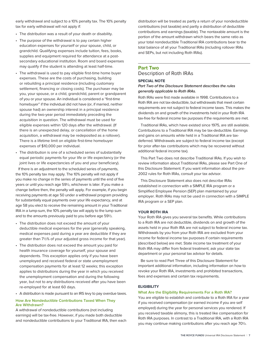early withdrawal and subject to a 10% penalty tax. The 10% penalty tax for early withdrawal will not apply if:

- The distribution was a result of your death or disability.
- The purpose of the withdrawal is to pay certain higher education expenses for yourself or your spouse, child, or grandchild. Qualifying expenses include tuition, fees, books, supplies and equipment required for attendance at a postsecondary educational institution. Room and board expenses may qualify if the student is attending at least half-time.
- The withdrawal is used to pay eligible first-time home buyer expenses. These are the costs of purchasing, building or rebuilding a principal residence (including customary settlement, financing or closing costs). The purchaser may be you, your spouse, or a child, grandchild, parent or grandparent of you or your spouse. An individual is considered a "first-time homebuyer" if the individual did not have (or, if married, neither spouse had) an ownership interest in a principal residence during the two-year period immediately preceding the acquisition in question. The withdrawal must be used for eligible expenses within 120 days after the withdrawal. (If there is an unexpected delay, or cancellation of the home acquisition, a withdrawal may be redeposited as a rollover). There is a lifetime limit on eligible first-time homebuyer expenses of \$10,000 per individual.
- The distribution is one of a scheduled series of substantially equal periodic payments for your life or life expectancy (or the joint lives or life expectancies of you and your beneficiary).

If there is an adjustment to the scheduled series of payments, the 10% penalty tax may apply. The 10% penalty will not apply if you make no change in the series of payments until the end of five years or until you reach age 59½, whichever is later. If you make a change before then, the penalty will apply. For example, if you begin receiving payments at age 50 under a withdrawal program providing for substantially equal payments over your life expectancy, and at age 58 you elect to receive the remaining amount in your Traditional IRA in a lump-sum, the 10% penalty tax will apply to the lump sum and to the amounts previously paid to you before age 59½.

- The distribution does not exceed the amount of your deductible medical expenses for the year (generally speaking, medical expenses paid during a year are deductible if they are greater than 7½% of your adjusted gross income for that year).
- The distribution does not exceed the amount you paid for health insurance coverage for yourself, your spouse and dependents. This exception applies only if you have been unemployed and received federal or state unemployment compensation payments for at least 12 weeks; this exception applies to distributions during the year in which you received the unemployment compensation and during the following year, but not to any distributions received after you have been re-employed for at least 60 days.
- A distribution is made pursuant to an IRS levy to pay overdue taxes.

#### **How Are Nondeductible Contributions Taxed When They Are Withdrawn?**

A withdrawal of nondeductible contributions (not including earnings) will be tax-free. However, if you made both deductible and nondeductible contributions to your Traditional IRA, then each

distribution will be treated as partly a return of your nondeductible contributions (not taxable) and partly a distribution of deductible contributions and earnings (taxable). The nontaxable amount is the portion of the amount withdrawn which bears the same ratio as your total nondeductible Traditional IRA contributions bear to the total balance of all your Traditional IRAs (including rollover IRAs and SEPs, but not including Roth IRAs).

### **Part Two** Description of Roth IRAs

#### **SPECIAL NOTE**

#### **Part Two of the Disclosure Statement describes the rules generally applicable to Roth IRAs.**

Roth IRAs were first made available in 1998. Contributions to a Roth IRA are not tax-deductible, but withdrawals that meet certain requirements are not subject to federal income taxes. This makes the dividends on and growth of the investments held in your Roth IRA tax-free for federal income tax purposes if the requirements are met.

Traditional IRAs, which have existed since 1975, are still available. Contributions to a Traditional IRA may be tax-deductible. Earnings and gains on amounts while held in a Traditional IRA are taxdeferred. Withdrawals are subject to federal income tax (except for prior after-tax contributions which may be recovered without additional federal income tax).

This Part Two does not describe Traditional IRAs. If you wish to review information about Traditional IRAs, please see Part One of this Disclosure Statement. If you want information about the pre-2002 rules for Roth IRAs, consult your tax advisor.

This Disclosure Statement also does not describe IRAs established in connection with a SIMPLE IRA program or a Simplified Employee Pension (SEP) plan maintained by your employer. Roth IRAs may not be used in connection with a SIMPLE IRA program or a SEP plan.

#### **YOUR ROTH IRA**

Your Roth IRA gives you several tax benefits. While contributions to a Roth IRA are not deductible, dividends on and growth of the assets held in your Roth IRA are not subject to federal income tax. Withdrawals by you from your Roth IRA are excluded from your income for federal income tax purposes if certain requirements (described below) are met. State income tax treatment of your Roth IRA may differ from federal treatment; ask your state tax department or your personal tax advisor for details.

Be sure to read Part Three of this Disclosure Statement for important additional information, including information on how to revoke your Roth IRA, investments and prohibited transactions, fees and expenses and certain tax requirements.

#### **ELIGIBILITY**

#### **What Are the Eligibility Requirements For a Roth IRA?**

You are eligible to establish and contribute to a Roth IRA for a year if you received compensation (or earned income if you are self employed) during the year for personal services you rendered. If you received taxable alimony, this is treated like compensation for Roth IRA purposes. In contrast to a Traditional IRA, with a Roth IRA you may continue making contributions after you reach age 70½.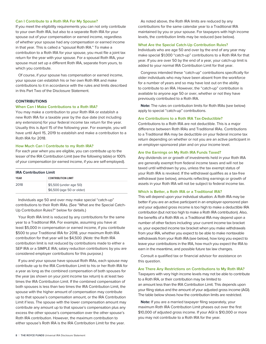#### **Can I Contribute to a Roth IRA For My Spouse?**

If you meet the eligibility requirements you can not only contribute to your own Roth IRA, but also to a separate Roth IRA for your spouse out of your compensation or earned income, regardless of whether your spouse had any compensation or earned income in that year. This is called a "spousal Roth IRA." To make a contribution to a Roth IRA for your spouse, you must file a joint tax return for the year with your spouse. For a spousal Roth IRA, your spouse must set up a different Roth IRA, separate from yours, to which you contribute.

Of course, if your spouse has compensation or earned income, your spouse can establish his or her own Roth IRA and make contributions to it in accordance with the rules and limits described in this Part Two of the Disclosure Statement.

#### **CONTRIBUTIONS**

#### **When Can I Make Contributions to a Roth IRA?**

You may make a contribution to your Roth IRA or establish a new Roth IRA for a taxable year by the due date (not including any extensions) for your federal income tax return for the year. Usually this is April 15 of the following year. For example, you will have until April 15, 2019 to establish and make a contribution to a Roth IRA for 2018.

#### **How Much Can I Contribute to my Roth IRA?**

For each year when you are eligible, you can contribute up to the lesser of the IRA Contribution Limit (see the following table) or 100% of your compensation (or earned income, if you are self-employed).

| <b>IRA Contribution Limit</b> |                                                     |  |
|-------------------------------|-----------------------------------------------------|--|
| <b>YEAR</b>                   | <b>CONTRIBUTION LIMIT</b>                           |  |
| 2018                          | \$5,500 (under age 50)<br>\$6,500 (age 50 or older) |  |

Individuals age 50 and over may make special "catch-up" contributions to their Roth IRAs. (See "What are the Special Catch-Up Contribution Rules?" below for details.)

Your Roth IRA limit is reduced by any contributions for the same year to a Traditional IRA. For example, assuming you have at least \$5,000 in compensation or earned income, if you contribute \$500 to your Traditional IRA for 2018, your maximum Roth IRA contribution for that year will be \$4,500. (Note: the Roth IRA contribution limit is not reduced by contributions made to either a SEP IRA or a SIMPLE IRA; salary reduction contributions by you are considered employer contributions for this purpose.)

If you and your spouse have spousal Roth IRAs, each spouse may contribute up to the IRA Contribution Limit to his or her Roth IRA for a year as long as the combined compensation of both spouses for the year (as shown on your joint income tax return) is at least two times the IRA Contribution Limit. If the combined compensation of both spouses is less than two times the IRA Contribution Limit, the spouse with the higher amount of compensation may contribute up to that spouse's compensation amount, or the IRA Contribution Limit if less. The spouse with the lower compensation amount may contribute any amount up to that spouse's compensation plus any excess the other spouse's compensation over the other spouse's Roth IRA contribution. However, the maximum contribution to either spouse's Roth IRA is the IRA Contribution Limit for the year.

As noted above, the Roth IRA limits are reduced by any contributions for the same calendar year to a Traditional IRA maintained by you or your spouse. For taxpayers with high income levels, the contribution limits may be reduced (see below).

#### **What Are the Special Catch-Up Contribution Rules?**

Individuals who are age 50 and over by the end of any year may make special \$1,000 "catch-up" contributions to a Roth IRA for that year. If you are over 50 by the end of a year, your catch-up limit is added to your normal IRA Contribution Limit for that year.

Congress intended these "catch-up" contributions specifically for older individuals who may have been absent from the workforce for a number of years and so may have lost out on the ability to contribute to an IRA. However, the "catch-up" contribution is available to anyone age 50 or over, whether or not they have previously contributed to a Roth IRA.

**Note:** The rules on contribution limits for Roth IRAs (see below) apply to special "catch-up" contributions.

#### **Are Contributions to a Roth IRA Tax-Deductible?**

Contributions to a Roth IRA are not deductible. This is a major difference between Roth IRAs and Traditional IRAs. Contributions to a Traditional IRA may be deductible on your federal income tax return depending on whether or not you are an active participant in an employer-sponsored plan and on your income level.

#### **Are the Earnings on My Roth IRA Funds Taxed?**

Any dividends on or growth of investments held in your Roth IRA are generally exempt from federal income taxes and will not be taxed until withdrawn by you, unless the tax exempt status of your Roth IRA is revoked. If the withdrawal qualifies as a tax-free withdrawal (see below), amounts reflecting earnings or growth of assets in your Roth IRA will not be subject to federal income tax.

#### **Which is Better, a Roth IRA or a Traditional IRA?**

This will depend upon your individual situation. A Roth IRA may be better if you are an active participant in an employer-sponsored plan and your adjusted gross income is too high to make a deductible IRA contribution (but not too high to make a Roth IRA contribution). Also, the benefits of a Roth IRA vs. a Traditional IRA may depend upon a number of other factors including: your current income tax bracket vs. your expected income tax bracket when you make withdrawals from your IRA, whether you expect to be able to make nontaxable withdrawals from your Roth IRA (see below), how long you expect to leave your contributions in the IRA, how much you expect the IRA to earn in the meantime, and possible future tax law changes.

Consult a qualified tax or financial advisor for assistance on this question.

#### **Are There Any Restrictions on Contributions to My Roth IRA?**

Taxpayers with very high income levels may not be able to contribute to a Roth IRA, or their contribution may be limited to an amount less than the IRA Contribution Limit. This depends upon your filing status and the amount of your adjusted gross income (AGI). The table below shows how the contribution limits are restricted.

**Note:** If you are a married taxpayer filing separately, your maximum Roth IRA Contribution Limit phases out over the first \$10,000 of adjusted gross income. If your AGI is \$10,000 or more you may not contribute to a Roth IRA for the year.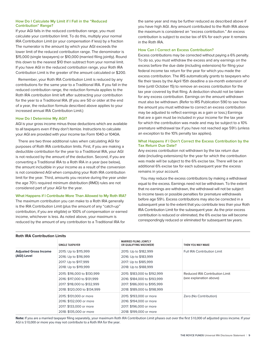#### **How Do I Calculate My Limit if I Fall in the "Reduced Contribution" Range?**

If your AGI falls in the reduced contribution range, you must calculate your contribution limit. To do this, multiply your normal IRA Contribution Limit (or your compensation if less) by a fraction The numerator is the amount by which your AGI exceeds the lower limit of the reduced contribution range. The denominator is \$15,000 (single taxpayers) or \$10,000 (married filing jointly). Round this down to the nearest \$10 then subtract from your normal limit. If you have AGI in the reduced contribution range, your Roth IRA Contribution Limit is the greater of the amount calculated or \$200.

Remember, your Roth IRA Contribution Limit is reduced by any contributions for the same year to a Traditional IRA. If you fall in the reduced contribution range, the reduction formula applies to the Roth IRA contribution limit left after subtracting your contribution for the year to a Traditional IRA. (If you are 50 or older at the end of a year, the reduction formula described above applies to your increased annual IRA Contribution Limit.)

#### **How Do I Determine My AGI?**

**Roth IRA Contribution Limits**

AGI is your gross income minus those deductions which are available to all taxpayers even if they don't itemize. Instructions to calculate your AGI are provided with your income tax Form 1040 or 1040A.

There are two three additional rules when calculating AGI for purposes of Roth IRA contribution limits. First, if you are making a deductible contribution for the year to a Traditional IRA, your AGI is not reduced by the amount of the deduction. Second, if you are converting a Traditional IRA to a Roth IRA in a year (see below), the amount includible in your income as a result of the conversion is not considered AGI when computing your Roth IRA contribution limit for the year. Third, amounts you receive during the year under the age 70½ required minimum distribution (RMD) rules are not considered part of your AGI for the year.

#### **What Happens if I Contribute More Than Allowed to My Roth IRA?**

The maximum contribution you can make to a Roth IRA generally is the IRA Contribution Limit (plus the amount of any "catch-up" contribution, if you are eligible) or 100% of compensation or earned income, whichever is less. As noted above, your maximum is reduced by the amount of any contribution to a Traditional IRA for

the same year and may be further reduced as described above if you have high AGI. Any amount contributed to the Roth IRA above the maximum is considered an "excess contribution." An excess contribution is subject to excise tax of 6% for each year it remains in the Roth IRA.

#### **How Can I Correct an Excess Contribution?**

Excess contributions may be corrected without paying a 6% penalty. To do so, you must withdraw the excess and any earnings on the excess before the due date (including extensions) for filing your federal income tax return for the year for which you made the excess contribution. The IRS automatically grants to taxpayers who file their taxes by the April 15th deadline a six-month extension of time (until October 15) to remove an excess contribution for the tax year covered by that filing. A deduction should not be taken for any excess contribution. Earnings on the amount withdrawn must also be withdrawn. (Refer to IRS Publication 590 to see how the amount you must withdraw to correct an excess contribution may be adjusted to reflect earnings as a gain or loss.) Earnings that are a gain must be included in your income for the tax year for which the contribution was made and may be subject to a 10% premature withdrawal tax if you have not reached age 59½ (unless an exception to the 10% penalty tax applies).

#### **What Happens if I Don't Correct the Excess Contribution by the Tax Return Due Date?**

Any excess contribution not withdrawn by the tax return due date (including extensions) for the year for which the contribution was made will be subject to the 6% excise tax. There will be an additional 6% excise tax for each subsequent year the excess remains in your account.

You may reduce the excess contributions by making a withdrawal equal to the excess. Earnings need not be withdrawn. To the extent that no earnings are withdrawn, the withdrawal will not be subject to income taxes or possible penalties for premature withdrawals before age 59½. Excess contributions may also be corrected in a subsequent year to the extent that you contribute less than your Roth IRA Contribution Limit for the subsequent year. As the prior excess contribution is reduced or eliminated, the 6% excise tax will become correspondingly reduced or eliminated for subsequent tax years.

| RUUTIRA CUIRIDURUI EIIIRS                   |                                                                                                                              |                                                                                                                              |                                                           |  |
|---------------------------------------------|------------------------------------------------------------------------------------------------------------------------------|------------------------------------------------------------------------------------------------------------------------------|-----------------------------------------------------------|--|
|                                             | <b>SINGLE TAXPAYER</b>                                                                                                       | <b>MARRIED FILING JOINTLY</b><br>OR QUALIFYING WIDOW(ER)                                                                     | THEN YOU MAY MAKE                                         |  |
| <b>Adjusted Gross Income</b><br>(AGI) Level | 2015: Up to \$115,999<br>2016: Up to \$116,999<br>2017: Up to \$117,999<br>2018: Up to \$119,999                             | 2015: Up to \$182,999<br>2016: Up to \$183,999<br>2017: Up to \$185,999<br>2018: Up to \$188,999                             | <b>Full IRA Contribution Limit</b>                        |  |
|                                             | 2015: \$116,000 to \$130,999<br>2016: \$117,000 to \$131,999<br>2017: \$118,000 to \$132,999<br>2018: \$120,000 to \$134,999 | 2015: \$183,000 to \$192,999<br>2016: \$184,000 to \$193,999<br>2017: \$186,000 to \$195,999<br>2018: \$189,000 to \$198,999 | Reduced IRA Contribution Limit<br>(see explanation above) |  |
|                                             | 2015: \$131,000 or more<br>2016: \$132,000 or more<br>2017: \$133,000 or more<br>2018: \$135,000 or more                     | 2015: \$193,000 or more<br>2016: \$194,000 or more<br>2017: \$196,000 or more<br>2018: \$199,000 or more                     | Zero (No Contribution)                                    |  |

**Note:** If you are a married taxpayer filing separately, your maximum Roth IRA Contribution Limit phases out over the first \$10,000 of adjusted gross income. If your AGI is \$10,000 or more you may not contribute to a Roth IRA for the year.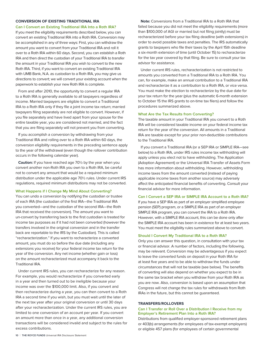#### **CONVERSION OF EXISTING TRADITIONAL IRA**

**Can I Convert an Existing Traditional IRA Into a Roth IRA?** If you meet the eligibility requirements described below, you can convert an existing Traditional IRA into a Roth IRA. Conversion may be accomplished in any of three ways: First, you can withdraw the amount you want to convert from your Traditional IRA and roll it over to a Roth IRA within 60 days. Second, you can establish a Roth IRA and then direct the custodian of your Traditional IRA to transfer the amount in your Traditional IRA you wish to convert to the new Roth IRA. Third, if you want to convert an existing Traditional IRA with UMB Bank, N.A. as custodian to a Roth IRA, you may give us directions to convert; we will convert your existing account when the paperwork to establish your new Roth IRA is complete.

From and after 2010, the opportunity to convert a regular IRA to a Roth IRA is generally available to all taxpayers regardless of income. Married taxpayers are eligible to convert a Traditional IRA to a Roth IRA only if they file a joint income tax return; married taxpayers filing separately are not eligible to convert. However, if you file separately and have lived apart from your spouse for the entire taxable year, you are considered not married, and the fact that you are filing separately will not prevent you from converting.

If you accomplish a conversion by withdrawing from your Traditional IRA and rolling over to a Roth IRA within 60 days, the conversion eligibility requirements in the preceding sentence apply to the year of the withdrawal (even though the rollover contribution occurs in the following calendar year).

**Caution:** If you have reached age 70½ by the year when you convert another non-Roth IRA you own to a Roth IRA, be careful not to convert any amount that would be a required minimum distribution under the applicable age 70½ rules. Under current IRS regulations, required minimum distributions may not be converted.

#### **What Happens if I Change My Mind About Converting?**

You can undo a conversion by notifying the custodian or trustee of each IRA (the custodian of the first IRA—the Traditional IRA you converted—and the custodian of the second IRA—the Roth IRA that received the conversion). The amount you want to un-convert by transferring back to the first custodian is treated for income tax purposes as if it had not been converted (however the transfers involved in the original conversion and in the transfer back are reportable to the IRS by the Custodian). This is called "recharacterization." If you want to recharacterize a converted amount, you must do so before the due date (including any extensions you receive) for your federal income tax return for the year of the conversion. Any net income (whether gain or loss) on the amount recharacterized must accompany it back to the Traditional IRA.

Under current IRS rules, you can recharacterize for any reason. For example, you would recharacterize if you converted early in a year and then turned out to be ineligible because your income was over the \$100,000 limit. Also, if you convert and then recharacterize during a year, you can then convert to a Roth IRA a second time if you wish, but you must wait until the later of the next tax year after your original conversion or until 30 days after your recharacterization. Under the current IRS rules, you are limited to one conversion of an account per year. If you convert an amount more than once in a year, any additional conversion transactions will be considered invalid and subject to the rules for excess contributions.

**Note:** Conversions from a Traditional IRA to a Roth IRA that failed because you did not meet the eligibility requirements (more than \$100,000 of AGI or married but not filing jointly) must be recharacterized before your tax filing deadline (with extensions) in order to avoid possible taxes and penalties. The IRS automatically grants to taxpayers who file their taxes by the April 15th deadline a six-month extension of time (until October 15) to recharacterize for the tax year covered by that filing. Be sure to consult your tax advisor for assistance.

Under current IRS rules, recharacterization is not restricted to amounts you converted from a Traditional IRA to a Roth IRA. You can, for example, make an annual contribution to a Traditional IRA and recharacterize it as a contribution to a Roth IRA, or vice versa. You must make the election to recharacterize by the due date for your tax return for the year (plus the automatic 6-month extension to October 15 the IRS grants to on-time tax filers) and follow the procedures summarized above.

#### **What Are the Tax Results from Converting?**

The taxable amount in your Traditional IRA you convert to a Roth IRA will be considered taxable income on your federal income tax return for the year of the conversion. All amounts in a Traditional IRA are taxable except for your prior non-deductible contributions to the Traditional IRA.

If you convert a Traditional IRA (or a SEP IRA or SIMPLE IRA—see below) to a Roth IRA, under IRS rules income tax withholding will apply unless you elect not to have withholding. The Application (Adoption Agreement) or the Universal IRA Transfer of Assets Form has more information about withholding. However, withholding income taxes from the amount converted (instead of paying applicable income taxes from another source) may adversely affect the anticipated financial benefits of converting. Consult your financial advisor for more information.

#### **Can I Convert a SEP IRA or SIMPLE IRA Account to a Roth IRA?**

If you have a SEP IRA as part of an employer simplified employee pension (SEP) program, or a SIMPLE IRA as part of an employer SIMPLE IRA program, you can convert the IRA to a Roth IRA. However, with a SIMPLE IRA account, this can be done only after the SIMPLE IRA account has been in existence for at least two years. You must meet the eligibility rules summarized above to convert.

#### **Should I Convert My Traditional IRA to a Roth IRA?**

Only you can answer this question, in consultation with your tax or financial advisor. A number of factors, including the following, may be relevant. Conversion may be advantageous if you expect to leave the converted funds on deposit in your Roth IRA for at least five years and to be able to withdraw the funds under circumstances that will not be taxable (see below). The benefits of converting will also depend on whether you expect to be in the same tax bracket when you withdraw from your Roth IRA as you are now. Also, conversion is based upon an assumption that Congress will not change the tax rules for withdrawals from Roth IRAs in the future, but this cannot be guaranteed.

#### **TRANSFERS/ROLLOVERS**

#### **Can I Transfer or Roll Over a Distribution I Receive from my Employer's Retirement Plan Into a Roth IRA?**

Distributions from qualified employer-sponsored retirement plans or 403(b) arrangements (for employees of tax-exempt employers) or eligible 457 plans (for employees of certain governmental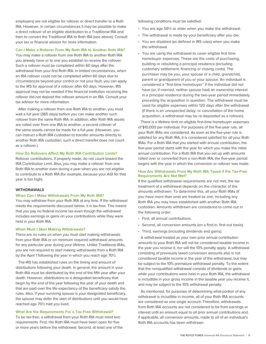employers) are not eligible for rollover or direct transfer to a Roth IRA. However, in certain circumstances it may be possible to make a direct rollover of an eligible distribution to a Traditional IRA and then to convert the Traditional IRA to Roth IRA (see above). Consult your tax or financial advisor for more information.

#### **Can I Make a Rollover From My Roth IRA to Another Roth IRA?**

You may make a rollover from one Roth IRA to another Roth IRA you already have or to one you establish to receive the rollover. Such a rollover must be completed within 60 days after the withdrawal from your first Roth IRA. In limited circumstances, when an IRA rollover could not be completed within 60 days due to circumstances beyond your control or not your fault, you can apply to the IRS for approval of a rollover after 60 days. However, IRS approval may not be needed if the financial institution receiving the rollover did not deposit the rollover amount in an IRA. Consult your tax advisor for more information.

After making a rollover from one Roth IRA to another, you must wait a full year (365 days) before you can make another such rollover from the same Roth IRA. In addition, after Roth IRA assets are rolled over from one IRA to another, a second rollover of the same assets cannot be made for a full year. (However, you can instruct a Roth IRA custodian to transfer amounts directly to another Roth IRA custodian; such a direct transfer does not count as a rollover.)

#### **How Do Rollovers Affect My Roth IRA Contribution Limits?**

Rollover contributions, if properly made, do not count toward the IRA Contribution Limit. Also, you may make a rollover from one Roth IRA to another even during a year when you are not eligible to contribute to a Roth IRA (for example, because your AGI for that year is too high).

#### **WITHDRAWALS**

#### **When Can I Make Withdrawals From My Roth IRA?**

You may withdraw from your Roth IRA at any time. If the withdrawal meets the requirements discussed below, it is tax-free. This means that you pay no federal income tax even though the withdrawal includes earnings or gains on your contributions while they were held in your Roth IRA.

#### **When Must I Start Making Withdrawals?**

There are no rules on when you must start making withdrawals from your Roth IRA or on minimum required withdrawal amounts for any particular year during your lifetime. Unlike Traditional IRAs, you are not required to start making withdrawals from a Roth IRA by the April 1 following the year in which you reach age 70½.

The IRS has established rules on the timing and amount of distributions following your death. In general, the amount in your Roth IRA must be distributed by the end of the fifth year after your death. However, distributions to a designated beneficiary that begin by the end of the year following the year of your death and that are paid over the life expectancy of the beneficiary satisfy the rules. Also, if your surviving spouse is your designated beneficiary, the spouse may defer the start of distributions until you would have reached age 70½ had you lived.

#### **What Are the Requirements For a Tax-Free Withdrawal?**

To be tax-free, a withdrawal from your Roth IRA must meet two requirements. First, the Roth IRA must have been open for five or more years before the withdrawal. Second, at least one of the following conditions must be satisfied:

- You are age 59½ or older when you make the withdrawal.
- The withdrawal is made by your beneficiary after you die.
- You are disabled (as defined in IRS rules) when you make the withdrawal.
- You are using the withdrawal to cover eligible first time homebuyer expenses. These are the costs of purchasing, building or rebuilding a principal residence (including customary settlement, financing or closing costs). The purchaser may be you, your spouse or a child, grandchild, parent or grandparent of you or your spouse. An individual is considered a "first-time homebuyer" if the individual did not have (or, if married, neither spouse had) an ownership interest in a principal residence during the two-year period immediately preceding the acquisition in question. The withdrawal must be used for eligible expenses within 120 days after the withdrawal (if there is an unexpected delay, or cancellation of the home acquisition, a withdrawal may be re-deposited as a rollover).

There is a lifetime limit on eligible first-time homebuyer expenses of \$10,000 per individual. For purposes of the five-year rule, all your Roth IRAs are considered. As soon as the five-year rule is satisfied for any Roth IRA, it is considered satisfied for all your Roth IRAs. For a Roth IRA that you started with annual contribution, the five-year period starts with the year for which you make the initial annual contribution. For a Roth IRA that you set up with amounts rolled over or converted from a non-Roth IRA, the five-year period begins with the year in which the conversion or rollover was made.

#### **How Are Withdrawals From My Roth IRA Taxed if the Tax-Free Requirements Are Not Met?**

If the qualified withdrawal requirements are not met, the tax treatment of a withdrawal depends on the character of the amounts withdrawn. To determine this, all your Roth IRAs (if you have more than one) are treated as one, including any Roth IRA you may have established with another Roth IRA custodian. Amounts withdrawn are considered to come out in the following order:

- First, all annual contributions.
- Second, all conversion amounts (on a first-in, first-out basis).
- Third, earnings (including dividends and gains).

A withdrawal treated as your own prior annual contribution amounts to your Roth IRA will not be considered taxable income in the year you receive it, nor will the 10% penalty apply. A withdrawal consisting of previously taxed conversion amounts also is not considered taxable income in the year of the withdrawal, but may be subject to the 10% premature withdrawal penalty. To the extent that the nonqualified withdrawal consists of dividends or gains while your contributions were held in your Roth IRA, the withdrawal is includible in your gross income in the taxable year you receive it, and may be subject to the 10% withdrawal penalty.

As mentioned, for purposes of determining what portion of any withdrawal is includible in income, all of your Roth IRA accounts are considered as one single account. Therefore, withdrawals from Roth IRA accounts are not considered to be from earnings or interest until an amount equal to all prior annual contributions and, if applicable, all conversion amounts, made to all of an individual's Roth IRA accounts has been withdrawn.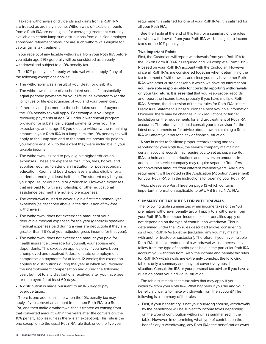Taxable withdrawals of dividends and gains from a Roth IRA are treated as ordinary income. Withdrawals of taxable amounts from a Roth IRA are not eligible for averaging treatment currently available to certain lump sum distributions from qualified employersponsored retirement plans, nor are such withdrawals eligible for capital gains tax treatment.

Your receipt of any taxable withdrawal from your Roth IRA before you attain age 59½ generally will be considered as an early withdrawal and subject to a 10% penalty tax.

The 10% penalty tax for early withdrawal will not apply if any of the following exceptions applies:

- The withdrawal was a result of your death or disability.
- The withdrawal is one of a scheduled series of substantially equal periodic payments for your life or life expectancy (or the joint lives or life expectancies of you and your beneficiary).
- If there is an adjustment to the scheduled series of payments, the 10% penalty tax will apply. For example, if you begin receiving payments at age 50 under a withdrawal program providing for substantially equal payments over your life expectancy, and at age 58 you elect to withdraw the remaining amount in your Roth IRA in a lump-sum, the 10% penalty tax will apply to the lump sum and to the amounts previously paid to you before age 59½ to the extent they were includible in your taxable income.
- The withdrawal is used to pay eligible higher education expenses. These are expenses for tuition, fees, books, and supplies required to attend an institution for post-secondary education. Room and board expenses are also eligible for a student attending at least half-time. The student may be you, your spouse, or your child or grandchild. However, expenses that are paid for with a scholarship or other educational assistance payment are not eligible expenses.
- The withdrawal is used to cover eligible first time homebuyer expenses (as described above in the discussion of tax-free withdrawals).
- The withdrawal does not exceed the amount of your deductible medical expenses for the year (generally speaking, medical expenses paid during a year are deductible if they are greater than 71½% of your adjusted gross income for that year).
- The withdrawal does not exceed the amount you paid for health insurance coverage for yourself, your spouse and dependents. This exception applies only if you have been unemployed and received federal or state unemployment compensation payments for at least 12 weeks; this exception applies to distributions during the year in which you received the unemployment compensation and during the following year, but not to any distributions received after you have been re-employed for at least 60 days.
- A distribution is made pursuant to an IRS levy to pay overdue taxes.

There is one additional time when the 10% penalty tax may apply. If you convert an amount from a non-Roth IRA to a Roth IRA, and then make a withdrawal that is treated as coming from that converted amount within five years after the conversion, the 10% penalty applies (unless there is an exception). This rule is the one exception to the usual Roth IRA rule that, once the five year

requirement is satisfied for one of your Roth IRAs, it is satisfied for all your Roth IRAs.

See the Table at the end of this Part for a summary of the rules on when withdrawals from your Roth IRA will be subject to income taxes or the 10% penalty tax.

#### **Two Important Points**

First, the Custodian will report withdrawals from your Roth IRA to the IRS on Form 1099-R as required and will complete Form 1099- R based on your Roth IRA account with the Custodian. However, since all Roth IRAs are considered together when determining the tax treatment of withdrawals, and since you may have other Roth IRAs with other custodians (about which we have no information) **you have sole responsibility for correctly reporting withdrawals on your tax return.** It is **essential** that you keep proper records and report the income taxes properly if you have multiple Roth IRAs. Second, the discussion of the tax rules for Roth IRAs in this Disclosure Statement is based upon the best available information. However, there may be changes in IRS regulations or further legislation on the requirements for and tax treatment of Roth IRA accounts. Therefore, you should consult your tax advisor for the latest developments or for advice about how maintaining a Roth IRA will affect your personal tax or financial situation.

**Note:** In order to facilitate proper recordkeeping and tax reporting for your Roth IRA, the service company maintaining certain account records may require you to set up separate Roth IRAs to hold annual contributions and conversion amounts. In addition, the service company may require separate Roth IRAs for conversion amounts from different calendar years. Any such requirement will be noted in the Application (Adoption Agreement) for your Roth IRA or in the instructions for opening your Roth IRA.

Also, please see Part Three on page 13 which contains important information applicable to all UMB Bank, N.A. IRAs.

#### **SUMMARY OF TAX RULES FOR WITHDRAWALS**

The following table summarizes when income taxes or the 10% premature withdrawal penalty tax will apply to a withdrawal from your Roth IRA. Remember, income taxes or penalties apply or not depending on the type of contribution withdrawn. This is determined under the IRS rules described above, considering all of your Roth IRAs together (including any you may maintain with another trustee or custodian). Therefore, if you have multiple Roth IRAs, the tax treatment of a withdrawal will not necessarily follow from the type of contributions held in the particular Roth IRA account you withdrew from. Also, the income and penalty tax rules for Roth IRA withdrawals are extremely complex; the following table is only a summary and may not cover every possible situation. Consult the IRS or your personal tax advisor if you have a question about your individual situation.

The table summarizes the tax rules that may apply if you withdraw from your Roth IRA. What happens if you die and your beneficiary wants to make withdrawals from the account? The following is a summary of the rules.

• First, if your beneficiary is not your surviving spouse, withdrawals by the beneficiary will be subject to income taxes depending on the type of contribution withdrawn as summarized in the table. However, in determining what type of contribution the beneficiary is withdrawing, any Roth IRAs the beneficiaries owns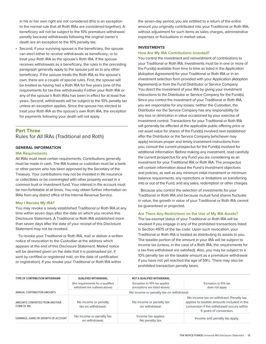in his or her own right are not considered (this is an exception to the normal rule that all Roth IRAs are considered together). A beneficiary will not be subject to the 10% premature withdrawal penalty because withdrawals following the original owner's death are an exception to the 10% penalty tax.

• Second, if your surviving spouse is the beneficiary, the spouse can elect either to receive withdrawals as beneficiary, or to treat your Roth IRA as the spouse's Roth IRA. If the spouse receives withdrawals as a beneficiary, the rules in the preceding paragraph generally apply to the spouse just as to any other beneficiary. If the spouse treats the Roth IRA as the spouse's own, there are a couple of special rules. First, the spouse will be treated as having had a Roth IRA for five years (one of the requirements for tax-free withdrawals) if either your Roth IRA or any of the spouse's Roth IRAs has been in effect for at least five years. Second, withdrawals will be subject to the 10% penalty tax unless an exception applies. Since the spouse has elected to treat your Roth IRA as the spouse's own Roth IRA, the exception for payments following your death will not apply.

# **Part Three** Rules for All IRAs (Traditional and Roth)

#### **GENERAL INFORMATION**

#### **IRA Requirements**

All IRAs must meet certain requirements. Contributions generally must be made in cash. The IRA trustee or custodian must be a bank or other person who has been approved by the Secretary of the Treasury. Your contributions may not be invested in life insurance or collectibles or be commingled with other property except in a common trust or investment fund. Your interest in the account must be non-forfeitable at all times. You may obtain further information on IRAs from any district office of the Internal Revenue Service.

#### **May I Revoke My IRA?**

You may revoke a newly established Traditional or Roth IRA at any time within seven days after the date on which you receive this Disclosure Statement. A Traditional or Roth IRA established more than seven days after the date of your receipt of this Disclosure Statement may not be revoked.

To revoke your Traditional or Roth IRA, mail or deliver a written notice of revocation to the Custodian at the address which appears at the end of this Disclosure Statement. Mailed notice will be deemed given on the date that it is postmarked (or, if sent by certified or registered mail, on the date of certification or registration). If you revoke your Traditional or Roth IRA within

the seven-day period, you are entitled to a return of the entire amount you originally contributed into your Traditional or Roth IRA, without adjustment for such items as sales charges, administrative expenses or fluctuations in market value.

#### **INVESTMENTS**

#### **How Are My IRA Contributions Invested?**

You control the investment and reinvestment of contributions to your Traditional or Roth IRA. Investments must be in one or more of the Fund(s) available from time to time as listed in the Application (Adoption Agreement) for your Traditional or Roth IRA or in an investment selection form provided with your Application (Adoption Agreement) or from the Fund Distributor or Service Company. You direct the investment of your IRA by giving your investment instructions to the Distributor or Service Company for the Fund(s). Since you control the investment of your Traditional or Roth IRA, you are responsible for any losses; neither the Custodian, the Distributor nor the Service Company has any responsibility for any loss or diminution in value occasioned by your exercise of investment control. Transactions for your Traditional or Roth IRA will generally be effected at the applicable public offering price or net asset value for shares of the Fund(s) involved next established after the Distributor or the Service Company (whichever may apply) receives proper and timely investment instructions from you; consult the current prospectus for the Fund(s) involved for additional information. Before making any investment, read carefully the current prospectus for any Fund you are considering as an investment for your Traditional IRA or Roth IRA. The prospectus will contain information about the Fund's investment objectives and policies, as well as any minimum initial investment or minimum balance requirements, any restrictions or limitations on transferring into or out of the Fund, and any sales, redemption or other charges.

Because you control the selection of investments for your Traditional or Roth IRA and because mutual fund shares fluctuate in value, the growth in value of your Traditional or Roth IRA cannot be guaranteed or projected.

#### **Are There Any Restrictions on the Use of My IRA Assets?**

The tax-exempt status of your Traditional or Roth IRA will be revoked if you engage in any of the prohibited transactions listed in Section 4975 of the tax code. Upon such revocation, your Traditional or Roth IRA is treated as distributing its assets to you. The taxable portion of the amount in your IRA will be subject to income tax (unless, in the case of a Roth IRA, the requirements for a tax-free withdrawal are satisfied). Also, you may be subject to a 10% penalty tax on the taxable amount as a premature withdrawal if you have not yet reached the age of 59½. There may also be prohibited transaction penalty taxes.

| <b>TYPE OF CONTRIBUTION WITHDRAWN</b>         | <b>QUALIFIED WITHDRAWAL</b>                                        | NOT A QUALIFIED WITHDRAWAL                                    |                                                                                                                                                               |
|-----------------------------------------------|--------------------------------------------------------------------|---------------------------------------------------------------|---------------------------------------------------------------------------------------------------------------------------------------------------------------|
|                                               | (the requirements for a qualified<br>withdrawl are outlined above) | Exception to 10% tax applies<br>(exceptions are listed above) | Exception to 10% tax<br>does not apply                                                                                                                        |
| ANNUAL CONTRIBUTION AMOUNTS                   | No income or penalty tax on withdrawal.                            |                                                               |                                                                                                                                                               |
| AMOUNTS CONVERTED FROM ANOTHER<br>FORM OF IRA | No income or penalty<br>tax on withdrawal.                         | No income or penalty tax<br>on withdrawal.                    | No income tax on withdrawl. Penalty tax<br>applies to taxable amounts included in the<br>conversion if the withdrawal occurs within<br>5 years of conversion. |
| EARNINGS, GAINS OR GROWTH OF ACCOUNT          | No income or penalty tax<br>on withdrawal.                         | Income tax applies.<br>No penalty tax.                        | Income and penalty tax apply.                                                                                                                                 |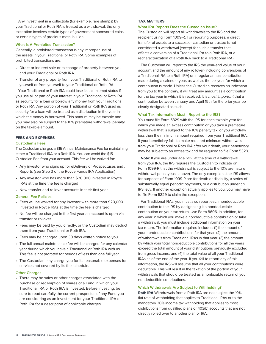Any investment in a collectible (for example, rare stamps) by your Traditional or Roth IRA is treated as a withdrawal; the only exception involves certain types of government-sponsored coins or certain types of precious metal bullion.

#### **What Is A Prohibited Transaction?**

Generally, a prohibited transaction is any improper use of the assets in your Traditional or Roth IRA. Some examples of prohibited transactions are:

- Direct or indirect sale or exchange of property between you and your Traditional or Roth IRA.
- Transfer of any property from your Traditional or Roth IRA to yourself or from yourself to your Traditional or Roth IRA.

Your Traditional or Roth IRA could lose its tax exempt status if you use all or part of your interest in your Traditional or Roth IRA as security for a loan or borrow any money from your Traditional or Roth IRA. Any portion of your Traditional or Roth IRA used as security for a loan will be treated as a distribution in the year in which the money is borrowed. This amount may be taxable and you may also be subject to the 10% premature withdrawal penalty on the taxable amount.

#### **FEES AND EXPENSES**

#### **Custodian's Fees**

The Custodian charges a \$15 Annual Maintenance Fee for maintaining either a Traditional IRA or a Roth IRA. You can avoid the \$15 Custodian Fee from your account. This fee will be waived for:

- Any investor who signs up for eDelivery of Prospectuses and , Reports (see Step 3 of the Royce Funds IRA Application)
- Any investor who has more than \$20,000 invested in Royce IRAs at the time the fee is charged
- New transfer and rollover accounts in their first year

#### **General Fee Policies**

- Fees will be waived for any Investor with more than \$20,000 invested in Royce IRAs at the time the fee is charged.
- No fee will be charged in the first year an account is open via transfer or rollover.
- Fees may be paid by you directly, or the Custodian may deduct them from your Traditional or Roth IRA.
- Fees may be changed upon 30 days written notice to you.
- The full annual maintenance fee will be charged for any calendar year during which you have a Traditional or Roth IRA with us. This fee is not prorated for periods of less than one full year.
- The Custodian may charge you for its reasonable expenses for services not covered by its fee schedule.

#### **Other Charges**

• There may be sales or other charges associated with the purchase or redemption of shares of a Fund in which your Traditional IRA or Roth IRA is invested. Before investing, be sure to read carefully the current prospectus of any Fund you are considering as an investment for your Traditional IRA or Roth IRA for a description of applicable charges.

#### **TAX MATTERS**

#### **What IRA Reports Does the Custodian Issue?**

The Custodian will report all withdrawals to the IRS and the recipient using Form 1099-R. For reporting purposes, a direct transfer of assets to a successor custodian or trustee is not considered a withdrawal (except for such a transfer that effects a conversion of a Traditional IRA to a Roth IRA, or a recharacterization of a Roth IRA back to a Traditional IRA).

The Custodian will report to the IRS the year-end value of your account and the amount of any rollover (including conversions of a Traditional IRA to a Roth IRA) or a regular annual contribution made during a calendar year, as well as the tax year for which a contribution is made. Unless the Custodian receives an indication from you to the contrary, it will treat any amount as a contribution for the tax year in which it is received. It is most important that a contribution between January and April 15th for the prior year be clearly designated as such.

#### **What Tax Information Must I Report to the IRS?**

You must file Form 5329 with the IRS for each taxable year for which you made an excess contribution or you take a premature withdrawal that is subject to the 10% penalty tax, or you withdraw less than the minimum amount required from your Traditional IRA. If your beneficiary fails to make required minimum withdrawals from your Traditional or Roth IRA after your death, your beneficiary may be subject to an excise tax and be required to file Form 5329.

**Note:** If you are under age 59½ at the time of a withdrawal from your IRA, the IRS requires the Custodian to indicate on Form 1099-R that the withdrawal is subject to the 10% premature withdrawal penalty (see above). The only exceptions the IRS allows for purposes of Form 1099-R are for death or disability, a series of substantially equal periodic payments, or a distribution under an IRS levy. If another exception actually applies to you, you may have to file Form 5329 to claim the exception.

For Traditional IRAs, you must also report each nondeductible contribution to the IRS by designating it a nondeductible contribution on your tax return. Use Form 8606. In addition, for any year in which you make a nondeductible contribution or take a withdrawal, you must include additional information on your tax return. The information required includes: (1) the amount of your nondeductible contributions for that year; (2) the amount of withdrawals from Traditional IRAs in that year; (3) the amount by which your total nondeductible contributions for all the years exceed the total amount of your distributions previously excluded from gross income; and (4) the total value of all your Traditional IRAs as of the end of the year. If you fail to report any of this information, the IRS will assume that all your contributions were deductible. This will result in the taxation of the portion of your withdrawals that should be treated as a nontaxable return of your nondeductible contributions.

#### **Which Withdrawals Are Subject to Withholding?**

**Roth IRA** Withdrawals from a Roth IRA are not subject the 10% flat rate of withholding that applies to Traditional IRAs or to the mandatory 20% income tax withholding that applies to most distributions from qualified plans or 403(b) accounts that are not directly rolled over to another plan or IRA.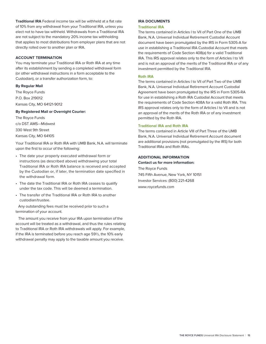**Traditional IRA** Federal income tax will be withheld at a flat rate of 10% from any withdrawal from your Traditional IRA, unless you elect not to have tax withheld. Withdrawals from a Traditional IRA are not subject to the mandatory 20% income tax withholding that applies to most distributions from employer plans that are not directly rolled over to another plan or IRA.

#### **ACCOUNT TERMINATION**

You may terminate your Traditional IRA or Roth IRA at any time after its establishment by sending a completed withdrawal form (or other withdrawal instructions in a form acceptable to the Custodian), or a transfer authorization form, to:

#### **By Regular Mail**

The Royce Funds P.O. Box 219012 Kansas City, MO 64121-9012

#### **By Registered Mail or Overnight Courier:**

The Royce Funds c/o DST AMS—Midwest 330 West 9th Street Kansas City, MO 64105

Your Traditional IRA or Roth IRA with UMB Bank, N.A. will terminate upon the first to occur of the following:

- The date your properly executed withdrawal form or instructions (as described above) withdrawing your total Traditional IRA or Roth IRA balance is received and accepted by the Custodian or, if later, the termination date specified in the withdrawal form.
- The date the Traditional IRA or Roth IRA ceases to qualify under the tax code. This will be deemed a termination.
- The transfer of the Traditional IRA or Roth IRA to another custodian/trustee.

Any outstanding fees must be received prior to such a termination of your account.

The amount you receive from your IRA upon termination of the account will be treated as a withdrawal, and thus the rules relating to Traditional IRA or Roth IRA withdrawals will apply. For example, if the IRA is terminated before you reach age 59½, the 10% early withdrawal penalty may apply to the taxable amount you receive.

#### **IRA DOCUMENTS**

#### **Traditional IRA**

The terms contained in Articles I to VII of Part One of the UMB Bank, N.A. Universal Individual Retirement Custodial Account document have been promulgated by the IRS in Form 5305-A for use in establishing a Traditional IRA Custodial Account that meets the requirements of Code Section 408(a) for a valid Traditional IRA. This IRS approval relates only to the form of Articles I to VII and is not an approval of the merits of the Traditional IRA or of any investment permitted by the Traditional IRA.

#### **Roth IRA**

The terms contained in Articles I to VII of Part Two of the UMB Bank, N.A. Universal Individual Retirement Account Custodial Agreement have been promulgated by the IRS in Form 5305-RA for use in establishing a Roth IRA Custodial Account that meets the requirements of Code Section 408A for a valid Roth IRA. This IRS approval relates only to the form of Articles I to VII and is not an approval of the merits of the Roth IRA or of any investment permitted by the Roth IRA.

#### **Traditional IRA and Roth IRA**

The terms contained in Article VIII of Part Three of the UMB Bank, N.A. Universal Individual Retirement Account document are additional provisions (not promulgated by the IRS) for both Traditional IRAs and Roth IRAs.

#### **ADDITIONAL INFORMATION**

**Contact us for more information:** The Royce Funds 745 Fifth Avenue, New York, NY 10151 Investor Services: (800) 221-4268 www.roycefunds.com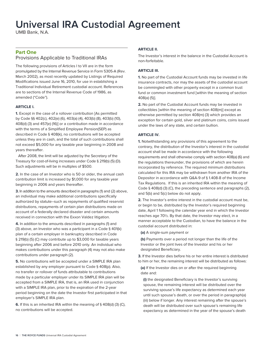# **Universal IRA Custodial Agreement**

UMB Bank, N.A.

## **Part One** Provisions Applicable to Traditional IRAs

The following provisions of Articles I to VII are in the form promulgated by the Internal Revenue Service in Form 5305-A (Rev. March 2002), as most recently updated by Listings of Required Modifications issued June 16, 2010, for use in establishing a Traditional Individual Retirement custodial account. References are to sections of the Internal Revenue Code of 1986, as amended ("Code").

#### **ARTICLE I.**

**1.** Except in the case of a rollover contribution [As permitted by Code §§ 402(c), 402(e) (6), 403(a) (4), 403(b) (8), 403(b) (10), 408(d) (3) and 457(e) (16)] or a contribution made in accordance with the terms of a Simplified Employee Pension(SEP) as described in Code § 408(k), no contributions will be accepted unless they are in cash, and the total of such contributions shall not exceed \$5,000 for any taxable year beginning in 2008 and years thereafter.

After 2008, the limit will be adjusted by the Secretary of the Treasury for cost-of-living increases under Code § 219(b) (5) (D). Such adjustments will be in multiples of \$500.

**2.** In the case of an Investor who is 50 or older, the annual cash contribution limit is increased by \$1,000 for any taxable year beginning in 2006 and years thereafter.

**3.** In addition to the amounts described in paragraphs (1) and (2) above, an individual may make additional contributions specifically authorized by statute–such as repayments of qualified reservist distributions, repayments of certain plan distributions made on account of a federally declared disaster and certain amounts received in connection with the Exxon Valdez litigation.

**4.** In addition to the amounts described in paragraphs (1) and (3) above, an Investor who was a participant in a Code § 401(k) plan of a certain employer in bankruptcy described in Code § 219(b) (5) (C) may contribute up to \$3,000 for taxable years beginning after 2006 and before 2010 only. An individual who makes contributions under this paragraph (4) may not also make contributions under paragraph (2).

**5.** No contributions will be accepted under a SIMPLE IRA plan established by any employer pursuant to Code § 408(p). Also, no transfer or rollover of funds attributable to contributions made by a particular employer under its SIMPLE IRA plan will be accepted from a SIMPLE IRA, that is, an IRA used in conjunction with a SIMPLE IRA plan, prior to the expiration of the 2-year period beginning on the date the Investor first participated in that employer's SIMPLE IRA plan.

**6.** If this is an inherited IRA within the meaning of § 408(d) (3) (C), no contributions will be accepted.

#### **ARTICLE II.**

The Investor's interest in the balance in the Custodial Account is non-forfeitable.

#### **ARTICLE III.**

**1.** No part of the Custodial Account funds may be invested in life insurance contracts, nor may the assets of the custodial account be commingled with other property except in a common trust fund or common investment fund [within the meaning of section 408(a) (5)].

**2.** No part of the Custodial Account funds may be invested in collectibles [within the meaning of section 408(m)] except as otherwise permitted by section 408(m) (3) which provides an exception for certain gold, silver and platinum coins, coins issued under the laws of any state, and certain bullion.

#### **ARTICLE IV.**

**1.** Notwithstanding any provisions of this agreement to the contrary, the distribution of the Investor's interest in the custodial account shall be made in accordance with the following requirements and shall otherwise comply with section 408(a) (6) and the regulations thereunder, the provisions of which are herein incorporated by reference. The required minimum distributions calculated for this IRA may be withdrawn from another IRA of the Depositor in accordance with Q&A-9 of § 1.408-8 of the Income Tax Regulations. If this is an inherited IRA within the meaning of Code § 408(d) (3) (C), the preceding sentence and paragraphs (2), and 5(b) and 5(c) below do not apply.

**2.** The Investor's entire interest in the custodial account must be, or begin to be, distributed by the Investor's required beginning date, April 1 following the calendar year end in which the Investor reaches age 70½. By that date, the Investor may elect, in a manner acceptable to the Custodian, to have the balance in the custodial account distributed in:

**(a)** A single-sum payment or

**(b)** Payments over a period not longer than the life of the Investor or the joint lives of the Investor and his or her designated Beneficiary.

**3.** If the Investor dies before his or her entire interest is distributed to him or her, the remaining interest will be distributed as follows:

**(a)** If the Investor dies on or after the required beginning date and:

**(i)** the designated Beneficiary is the Investor's surviving spouse, the remaining interest will be distributed over the surviving spouse's life expectancy as determined each year until such spouse's death, or over the period in paragraph(a) (iii) below if longer. Any interest remaining after the spouse's death will be distributed over such spouse's remaining life expectancy as determined in the year of the spouse's death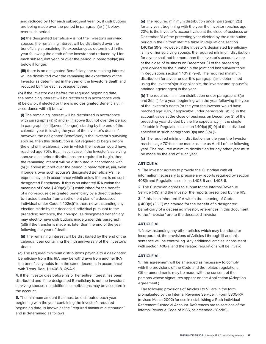and reduced by 1 for each subsequent year, or, if distributions are being made over the period in paragraph(a) (iii) below, over such period.

**(ii)** the designated Beneficiary is not the Investor's surviving spouse, the remaining interest will be distributed over the beneficiary's remaining life expectancy as determined in the year following the death of the Investor and reduced by 1 for each subsequent year, or over the period in paragraph(a) (iii) below if longer.

**(iii)** there is no designated Beneficiary, the remaining interest will be distributed over the remaining life expectancy of the Investor as determined in the year of the Investor's death and reduced by 1 for each subsequent year.

**(b)** If the Investor dies before the required beginning date, the remaining interest will be distributed in accordance with (i) below or, if elected or there is no designated Beneficiary, in accordance with (ii) below:

**(i)** The remaining interest will be distributed in accordance with paragraphs (a) (i) and(a) (ii) above (but not over the period in paragraph (a) (iii),even if longer), starting by the end of the calendar year following the year of the Investor's death. If, however, the designated Beneficiary is the Investor's surviving spouse, then this distribution is not required to begin before the end of the calendar year in which the Investor would have reached age 70½. But, in such case, if the Investor's surviving spouse dies before distributions are required to begin, then the remaining interest will be distributed in accordance with (a) (ii) above (but not over the period in paragraph (a) (iii), even if longer), over such spouse's designated Beneficiary's life expectancy, or in accordance with(ii) below if there is no such designated Beneficiary. If this is an inherited IRA within the meaning of Code § 408(d)(3)(C) established for the benefit of a non-spouse designated beneficiary by a direct trusteeto-trustee transfer from a retirement plan of a deceased individual under Code § 402(c)(11), then, notwithstanding any election made by the deceased individual pursuant to the preceding sentence, the non-spouse designated beneficiary may elect to have distributions made under this paragraph (b)(i) if the transfer is made no later than the end of the year following the year of death.

**(ii)** The remaining interest will be distributed by the end of the calendar year containing the fifth anniversary of the Investor's death.

**(c)** The required minimum distributions payable to a designated beneficiary from this IRA may be withdrawn from another IRA the beneficiary holds from the same decedent in accordance with Treas. Reg. § 1.408-8, Q&A-9.

**4.** If the Investor dies before his or her entire interest has been distributed and if the designated Beneficiary is not the Investor's surviving spouse, no additional contributions may be accepted in the account.

**5.** The minimum amount that must be distributed each year, beginning with the year containing the Investor's required beginning date, is known as the "required minimum distribution" and is determined as follows:

**(a)** The required minimum distribution under paragraph 2(b) for any year, beginning with the year the Investor reaches age 70½, is the Investor's account value at the close of business on December 31 of the preceding year divided by the distribution period in the uniform lifetime table in Regulations section 1.401(a) (9)-9. However, if the Investor's designated Beneficiary is his or her surviving spouse, the required minimum distribution for a year shall not be more than the Investor's account value at the close of business on December 31 of the preceding year divided by the number in the joint and last survivor table in Regulations section 1.401(a) (9)-9. The required minimum distribution for a year under this paragraph(a) is determined using the Investor's(or, if applicable, the Investor and spouse's) attained age(or ages) in the year.

**(b)** The required minimum distribution under paragraphs 3(a) and 3(b) (i) for a year, beginning with the year following the year of the Investor's death [or the year the Investor would have reached age 70½, if applicable under paragraph 3(b) (i)] is the account value at the close of business on December 31 of the preceding year divided by the life expectancy [in the single life table in Regulations section 1.401(a) (9)-9] of the individual specified in such paragraphs 3(a) and 3(b) (i).

**(c)** The required minimum distribution for the year the Investor reaches age 70½ can be made as late as April 1 of the following year. The required minimum distribution for any other year must be made by the end of such year.

#### **ARTICLE V.**

**1.** The Investor agrees to provide the Custodian with all information necessary to prepare any reports required by section 408(i) and Regulations sections 1.408-5 and 1.408-6.

**2.** The Custodian agrees to submit to the Internal Revenue Service (IRS) and the Investor the reports prescribed by the IRS.

**3.** If this is an inherited IRA within the meaning of Code § 408(d) (3) (C) maintained for the benefit of a designated beneficiary of a deceased Investor, references in this document to the "Investor" are to the deceased Investor.

#### **ARTICLE VI.**

**1.** Notwithstanding any other articles which may be added or incorporated, the provisions of Articles I through III and this sentence will be controlling. Any additional articles inconsistent with section 408(a) and the related regulations will be invalid.

#### **ARTICLE VII.**

**1.** This agreement will be amended as necessary to comply with the provisions of the Code and the related regulations. Other amendments may be made with the consent of the persons whose signatures appear on the Application (Adoption Agreement.)

The following provisions of Articles I to VII are in the form promulgated by the Internal Revenue Service in Form 5305-RA (revised March 2002) for use in establishing a Roth Individual Retirement Custodial Account. References are to sections of the Internal Revenue Code of 1986, as amended ("Code").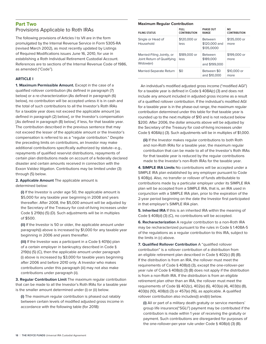# **Part Two** Provisions Applicable to Roth IRAs

The following provisions of Articles I to VII are in the form promulgated by the Internal Revenue Service in Form 5305-RA (revised March 2002), as most recently updated by Listings of Required Modifications issues June 16, 2010, for use in establishing a Roth Individual Retirement Custodial Account. References are to sections of the Internal Revenue Code of 1986, as amended ("Code").

#### **ARTICLE I**

**1. Maximum Permissible Amount.** Except in the case of a qualified rollover contribution (As defined in paragraph (7) below) or a re-characterization (As defined in paragraph (6) below), no contribution will be accepted unless it is in cash and the total of such contributions to all the Investor's Roth IRAs for a taxable year does not exceed the applicable amount [as defined in paragraph (2) below], or the Investor's compensation [As defined in paragraph (8) below], if less, for that taxable year. The contribution described in the previous sentence that may not exceed the lesser of the applicable amount or the Investor's compensation is referred to as a "regular contribution." Despite the preceding limits on contributions, an Investor may make additional contributions specifically authorized by statute–e.g., repayments of qualified reservist distributions, repayments of certain plan distributions made on account of a federally declared disaster and certain amounts received in connection with the Exxon Valdez litigation. Contributions may be limited under (3) through (5) below.

**2. Applicable Amount** The applicable amount is determined below:

**(i)** If the Investor is under age 50, the applicable amount is \$5,000 for any taxable year beginning in 2008 and years thereafter. After 2008, the \$5,000 amount will be adjusted by the Secretary of the Treasury for cost-of-living increases under Code § 219(b) (5) (D). Such adjustments will be in multiples of \$500.

**(ii)** If the Investor is 50 or older, the applicable amount under paragraph(i) above is increased by \$1,000 for any taxable year beginning in 2006 and years thereafter.

**(iii)** If the Investor was a participant in a Code § 401(k) plan of a certain employer in bankruptcy described in Code § 219(b) (5) (C), then the applicable amount under paragraph (i) above is increased by \$3,000 for taxable years beginning after 2006 and before 2010 only. A Investor who makes contributions under this paragraph (iii) may not also make contributions under paragraph (ii).

**3. Regular Contribution Limit** The maximum regular contribution that can be made to all the Investor's Roth IRAs for a taxable year is the smaller amount determined under (i) or (ii) below.

**(i)** The maximum regular contribution is phased out ratably between certain levels of modified adjusted gross income in accordance with the following table (for 2018):

#### **Maximum Regular Contribution**

| <b>FILING STATUS</b>                                                  | <b>FULL</b><br><b>CONTRIBUTION</b> | <b>PHASE OUT</b><br><b>RANGE</b>              | <b>NO</b><br><b>CONTRIBUTION</b> |
|-----------------------------------------------------------------------|------------------------------------|-----------------------------------------------|----------------------------------|
| Single or Head of<br>Household                                        | \$120,000 or<br>less               | <b>Retween</b><br>\$120,000 and<br>\$135,0000 | \$135,000 or<br>more             |
| Married-Filing Jointly, or<br>Joint Return of Qualifying<br>Widow(er) | \$189,000 or<br>less               | <b>Between</b><br>\$189,000<br>and \$199,000  | \$199,000 or<br>more             |
| Married-Separate Return                                               | \$0                                | Between \$0<br>and \$10,000                   | \$10,000 or<br>more              |

An individual's modified adjusted gross income ("modified AGI") for a taxable year is defined in Code § 408A(c) (3) and does not include any amount included in adjusted gross income as a result of a qualified rollover contribution. If the individual's modified AGI for a taxable year is in the phase-out range, the maximum regular contribution determined under this table for that taxable year is rounded up to the next multiple of \$10 and is not reduced below \$200. After 2006, the dollar amounts above will be adjusted by the Secretary of the Treasury for cost-of-living increases under Code § 408A(c) (3). Such adjustments will be in multiples of \$1,000.

**(ii)** If the Investor makes regular contributions to both Roth and non-Roth IRAs for a taxable year, the maximum regular contribution that can be made to all of the Investor's Roth IRAs for that taxable year is reduced by the regular contributions made to the Investor's non-Roth IRAs for the taxable year.

**4. SIMPLE IRA Limits** No contributions will be accepted under a SIMPLE IRA plan established by any employer pursuant to Code § 408(p). Also, no transfer or rollover of funds attributable to contributions made by a particular employer under its SIMPLE IRA plan will be accepted from a SIMPLE IRA, that is, an IRA used in conjunction with a SIMPLE IRA plan, prior to the expiration of the 2-year period beginning on the date the Investor first participated in that employer's SIMPLE IRA plan.

**5. Inherited IRA** If this is an inherited IRA within the meaning of Code § 408(d) (3) (C), no contributions will be accepted.

**6. Recharacterization** A regular contribution to a non-Roth IRA may be recharacterized pursuant to the rules in Code § 1.408A-5 of the regulations as a regular contribution to this IRA, subject to the limits in (c) above.

**7. Qualified Rollover Contribution** A "qualified rollover contribution" is a rollover contribution of a distribution from an eligible retirement plan described in Code § 402(c) (8) (B). If the distribution is from an IRA, the rollover must meet the requirements of Code § 408(d) (3), except the one-rollover-per year rule of Code § 408(d) (3) (B) does not apply if the distribution is from a non-Roth IRA. If the distribution is from an eligible retirement plan other than an IRA, the rollover must meet the requirements of Code §§ 402(c), 402(e) (6), 403(a) (4), 403(b) (8), 403(b) (10), 408(d) (3) or 457(e) (16), as applicable. A qualified rollover contribution also includes(i) and(ii) below.

**(i)** All or part of a military death gratuity or service members' group life insurance("SGLI") payment may be contributed if the contribution is made within 1 year of receiving the gratuity or payment. Such contributions are disregarded for purposes of the one-rollover-per-year rule under Code § 408(d) (3) (B).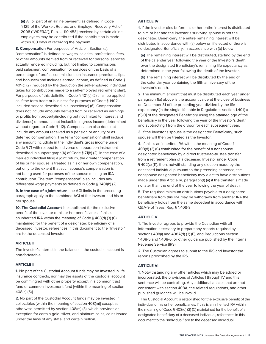**(ii)** All or part of an airline payment [as defined in Code § 125 of the Worker, Retiree, and Employer Recovery Act of 2008 ("WRERA"), Pub. L. 110-458] received by certain airline employees may be contributed if the contribution is made within 180 days of receiving the payment.

**8. Compensation** For purposes of Article I, Section (a), "compensation" is defined as wages, salaries, professional fees, or other amounts derived from or received for personal services actually rendered(including, but not limited to commissions paid salesmen, compensation for services on the basis of a percentage of profits, commissions on insurance premiums, tips, and bonuses) and includes earned income, as defined in Code § 401(c) (2) (reduced by the deduction the self-employed individual takes for contributions made to a self-employed retirement plan). For purposes of this definition, Code § 401(c) (2) shall be applied as if the term trade or business for purposes of Code § 1402 included service described in subsection(c) (6). Compensation does not include amounts derived from or received as earnings or profits from property(including but not limited to interest and dividends) or amounts not includible in gross income(determined without regard to Code § 112). Compensation also does not include any amount received as a pension or annuity or as deferred compensation. The term "compensation" shall include any amount includible in the individual's gross income under Code § 71 with respect to a divorce or separation instrument described in subparagraph(A) of Code § 71(b) (2). In the case of a married individual filing a joint return, the greater compensation of his or her spouse is treated as his or her own compensation, but only to the extent that such spouse's compensation is not being used for purposes of the spouse making an IRA contribution. The term "compensation" also includes any differential wage payments as defined in Code § 3401(h) (2).

**9. In the case of a joint return**, the AGI limits in the preceding paragraph apply to the combined AGI of the Investor and his or her spouse.

**10. The Custodial Account** is established for the exclusive benefit of the Investor or his or her beneficiaries. If this is an inherited IRA within the meaning of Code § 408(d) (3) (C) maintained for the benefit of a designated beneficiary of a deceased Investor, references in this document to the "Investor" are to the deceased Investor.

#### **ARTICLE II**

The Investor's interest in the balance in the custodial account is non-forfeitable.

#### **ARTICLE III**

**1.** No part of the Custodial Account funds may be invested in life insurance contracts, nor may the assets of the custodial account be commingled with other property except in a common trust fund or common investment fund [within the meaning of section 408(a) (5)].

**2.** No part of the Custodial Account funds may be invested in collectibles [within the meaning of section 408(m)] except as otherwise permitted by section 408(m) (3), which provides an exception for certain gold, silver, and platinum coins, coins issued under the laws of any state, and certain bullion.

#### **ARTICLE IV**

**1.** If the Investor dies before his or her entire interest is distributed to him or her and the Investor's surviving spouse is not the designated Beneficiary, the entire remaining interest will be distributed in accordance with (a) below or, if elected or there is no designated Beneficiary, in accordance with (b) below:

**(a)** The remaining interest will be distributed, starting by the end of the calendar year following the year of the Investor's death, over the designated Beneficiary's remaining life expectancy as determined in the year following the death of the Investor.

**(b)** The remaining interest will be distributed by the end of the calendar year containing the fifth anniversary of the Investor's death.

**2.** The minimum amount that must be distributed each year under paragraph 1(a) above is the account value at the close of business on December 31 of the preceding year divided by the life expectancy [in the single life table in Regulations section 1.401(a) (9)-9] of the designated Beneficiary using the attained age of the beneficiary in the year following the year of the Investor's death and subtracting 1 from the divisor for each subsequent year.

**3.** If the Investor's spouse is the designated Beneficiary, such spouse will then be treated as the Investor.

**4.** If this is an inherited IRA within the meaning of Code § 408(d) (3) (C) established for the benefit of a nonspouse designated beneficiary by a direct trustee-to-trustee transfer from a retirement plan of a deceased Investor under Code § 402(c) (11), then, notwithstanding any election made by the deceased individual pursuant to the preceding sentence, the nonspouse designated beneficiary may elect to have distributions made under this Article IV, paragraph(1) (a) if the transfer is made no later than the end of the year following the year of death.

**5.** The required minimum distributions payable to a designated beneficiary from this IRA may be withdrawn from another IRA the beneficiary holds from the same decedent in accordance with Q&A-9 of Treas. Reg. § 1.408-8.

#### **ARTICLE V**

**1.** The Investor agrees to provide the Custodian with all information necessary to prepare any reports required by sections 408(i) and 408A(d) (3) (E), and Regulations section 1.408-5 and 1.408-6, or other guidance published by the Internal Revenue Service (IRS).

**2.** The Custodian agrees to submit to the IRS and Investor the reports prescribed by the IRS.

#### **ARTICLE VI**

**1.** Notwithstanding any other articles which may be added or incorporated, the provisions of Articles I through IV and this sentence will be controlling. Any additional articles that are not consistent with section 408A, the related regulations, and other published guidance will be invalid.

The Custodial Account is established for the exclusive benefit of the individual or his or her beneficiaries. If this is an inherited IRA within the meaning of Code § 408(d) (3) (C) maintained for the benefit of a designated beneficiary of a deceased individual, references in this document to the "individual" are to the deceased individual.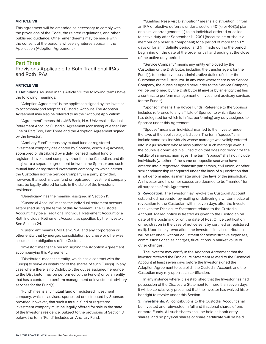#### **ARTICLE VII**

This agreement will be amended as necessary to comply with the provisions of the Code, the related regulations, and other published guidance. Other amendments may be made with the consent of the persons whose signatures appear in the Application (Adoption Agreement.)

#### **Part Three**

Provisions Applicable to Both Traditional IRAs and Roth IRAs

#### **ARTICLE VIII**

**1. Definitions** As used in this Article VIII the following terms have the following meanings:

"Adoption Agreement" is the application signed by the Investor to accompany and adopt this Custodial Account. The Adoption Agreement may also be referred to as the "Account Application".

"Agreement" means this UMB Bank, N.A. Universal Individual Retirement Account Custodial Agreement (consisting of either Part One or Part Two, Part Three and the Adoption Agreement signed by the Investor).

"Ancillary Fund" means any mutual fund or registered investment company designated by Sponsor, which is (i) advised, sponsored or distributed by a duly licensed mutual fund or registered investment company other than the Custodian, and (ii) subject to a separate agreement between the Sponsor and such mutual fund or registered investment company, to which neither the Custodian nor the Service Company is a party; provided, however, that such mutual fund or registered investment company must be legally offered for sale in the state of the Investor's residence.

"Beneficiary" has the meaning assigned in Section 11.

"Custodial Account" means the individual retirement account established using the terms of this Agreement. The Custodial Account may be a Traditional Individual Retirement Account or a Roth Individual Retirement Account, as specified by the Investor. See Section 24.

"Custodian" means UMB Bank, N.A. and any corporation or other entity that by merger, consolidation, purchase or otherwise, assumes the obligations of the Custodian.

"Investor" means the person signing the Adoption Agreement accompanying this Agreement.

"Distributor" means the entity, which has a contract with the Fund(s) to serve as distributor of the shares of such Fund(s). In any case where there is no Distributor, the duties assigned hereunder to the Distributor may be performed by the Fund(s) or by an entity that has a contract to perform management or investment advisory services for the Fund(s).

"Fund" means any mutual fund or registered investment company, which is advised, sponsored or distributed by Sponsor; provided, however, that such a mutual fund or registered investment company must be legally offered for sale in the state of the Investor's residence. Subject to the provisions of Section 3 below, the term "Fund" includes an Ancillary Fund.

"Qualified Reservist Distribution" means a distribution (i) from an IRA or elective deferrals under a section 401(k) or 403(b) plan, or a similar arrangement, (ii) to an individual ordered or called to active duty after September 11, 2001 (because he or she is a member of a reserve component) for a period of more than 179 days or for an indefinite period, and (iii) made during the period beginning on the date of the order or call and ending at the close of the active duty period.

"Service Company" means any entity employed by the Custodian or the Distributor, including the transfer agent for the Fund(s), to perform various administrative duties of either the Custodian or the Distributor. In any case where there is no Service Company, the duties assigned hereunder to the Service Company will be performed by the Distributor (if any) or by an entity that has a contract to perform management or investment advisory services for the Fund(s).

"Sponsor" means The Royce Funds. Reference to the Sponsor includes reference to any affiliate of Sponsor to which Sponsor has delegated (or which is in fact performing) any duty assigned to Sponsor under this Agreement.

"Spouse" means an individual married to the Investor under the laws of the applicable jurisdiction. The term "spouse" shall include same-sex individuals whose marriage was validly entered into in a jurisdiction whose laws authorize such marriage even if the couple is domiciled in a jurisdiction that does not recognize the validity of same-sex marriages. The term "spouse" shall not include individuals (whether of the same or opposite sex) who have entered into a registered domestic partnership, civil union, or other similar relationship recognized under the laws of a jurisdiction that is not denominated as marriage under the laws of the jurisdiction. An Investor and his or her spouse are deemed to be "married" for all purposes of this Agreement.

**2. Revocation.** The Investor may revoke the Custodial Account established hereunder by mailing or delivering a written notice of revocation to the Custodian within seven days after the Investor receives the Disclosure Statement related to the Custodial Account. Mailed notice is treated as given to the Custodian on date of the postmark (or on the date of Post Office certification or registration in the case of notice sent by certified or registered mail). Upon timely revocation, the Investor's initial contribution will be returned, without adjustment for administrative expenses, commissions or sales charges, fluctuations in market value or other changes.

The Investor may certify in the Adoption Agreement that the Investor received the Disclosure Statement related to the Custodial Account at least seven days before the Investor signed the Adoption Agreement to establish the Custodial Account, and the Custodian may rely upon such certification.

In any instance where it is established that the Investor has had possession of the Disclosure Statement for more than seven days, it will be conclusively presumed that the Investor has waived his or her right to revoke under this Section.

**3. Investments.** All contributions to the Custodial Account shall be invested and reinvested in full and fractional shares of one or more Funds. All such shares shall be held as book entry shares, and no physical shares or share certificate will be held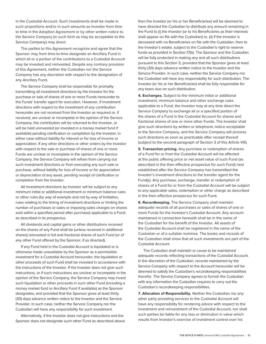in the Custodial Account. Such investments shall be made in such proportions and/or in such amounts as Investor from time to time in the Adoption Agreement or by other written notice to the Service Company (in such form as may be acceptable to the Service Company) may direct.

The parties to this Agreement recognize and agree that the Sponsor may from time-to-time designate an Ancillary Fund in which all or a portion of the contributions to a Custodial Account may be invested and reinvested. Despite any contrary provision of this Agreement, neither the Custodian nor the Service Company has any discretion with respect to the designation of any Ancillary Fund.

The Service Company shall be responsible for promptly transmitting all investment directions by the Investor for the purchase or sale of shares of one or more Funds hereunder to the Funds' transfer agent for execution. However, if investment directions with respect to the investment of any contribution hereunder are not received from the Investor as required or, if received, are unclear or incomplete in the opinion of the Service Company, the contribution will be returned to the Investor, or will be held uninvested (or invested in a money market fund if available) pending clarification or completion by the Investor, in either case without liability for interest or for loss of income or appreciation. If any other directions or other orders by the Investor with respect to the sale or purchase of shares of one or more Funds are unclear or incomplete in the opinion of the Service Company, the Service Company will refrain from carrying out such investment directions or from executing any such sale or purchase, without liability for loss of income or for appreciation or depreciation of any asset, pending receipt of clarification or completion from the Investor.

All investment directions by Investor will be subject to any minimum initial or additional investment or minimum balance rules or other rules (by way of example and not by way of limitation, rules relating to the timing of investment directions or limiting the number of purchases or sales or imposing sales charges on shares sold within a specified period after purchase) applicable to a Fund as described in its prospectus.

All dividends and capital gains or other distributions received on the shares of any Fund shall be (unless received in additional shares) reinvested in full and fractional shares of such Fund (or of any other Fund offered by the Sponsor, if so directed).

If any Fund held in the Custodial Account is liquidated or is otherwise made unavailable by the Sponsor as a permissible investment for a Custodial Account hereunder, the liquidation or other proceeds of such Fund shall be invested in accordance with the instructions of the Investor. If the Investor does not give such instructions, or if such instructions are unclear or incomplete in the opinion of the Service Company, the Service Company may invest such liquidation or other proceeds in such other Fund (including a money market fund or Ancillary Fund if available) as the Sponsor designates, and provided that the Sponsor gives at least thirty (30) days advance written notice to the Investor and the Service Provider. In such case, neither the Service Company nor the Custodian will have any responsibility for such investment.

Alternatively, if the Investor does not give instructions and the Sponsor does not designate such other Fund as described above then the Investor (or his or her Beneficiaries) will be deemed to have directed the Custodian to distribute any amount remaining in the Fund to (i) the Investor (or to his Beneficiaries as their interests shall appear on file with the Custodian) or, (ii) if the Investor is deceased with no Beneficiaries on file with the Custodian, then to the Investor's estate, subject to the Custodian's right to reserve funds as provided in Section 17(b). The Sponsor and the Custodian will be fully protected in making any and all such distributions pursuant to this Section 3, provided that the Sponsor gives at least thirty (30) days advance written notice to the Investor and the Service Provider. In such case, neither the Service Company nor the Custodian will have any responsibility for such distribution. The Investor (or his or her Beneficiaries) shall be fully responsible for any taxes due on such distribution.

**4. Exchanges.** Subject to the minimum initial or additional investment, minimum balance and other exchange rules applicable to a Fund, the Investor may at any time direct the Service Company to exchange all or a specified portion of the shares of a Fund in the Custodial Account for shares and fractional shares of one or more other Funds. The Investor shall give such directions by written or telephonic notice acceptable to the Service Company, and the Service Company will process such directions as soon as practicable after receipt thereof (subject to the second paragraph of Section 3 of this Article VIII).

**5. Transaction pricing.** Any purchase or redemption of shares of a Fund for or from the Custodial Account will be effected at the public offering price or net asset value of such Fund (as described in the then effective prospectus for such Fund) next established after the Service Company has transmitted the Investor's investment directions to the transfer agent for the Fund(s). Any purchase, exchange, transfer or redemption of shares of a Fund for or from the Custodial Account will be subject to any applicable sales, redemption or other charge as described in the then effective prospectus for such Fund.

**6. Recordkeeping.** The Service Company shall maintain adequate records of all purchases or sales of shares of one or more Funds for the Investor's Custodial Account. Any account maintained in connection herewith shall be in the name of the Custodian for the benefit of the Investor. All assets of the Custodial Account shall be registered in the name of the Custodian or of a suitable nominee. The books and records of the Custodian shall show that all such investments are part of the Custodial Account.

The Custodian shall maintain or cause to be maintained adequate records reflecting transactions of the Custodial Account. In the discretion of the Custodian, records maintained by the Service Company with respect to the Account hereunder will be deemed to satisfy the Custodian's recordkeeping responsibilities therefor. The Service Company agrees to furnish the Custodian with any information the Custodian requires to carry out the Custodian's recordkeeping responsibilities.

**7. Allocation of Responsibility.** Neither the Custodian nor any other party providing services to the Custodial Account will have any responsibility for rendering advice with respect to the investment and reinvestment of the Custodial Account, nor shall such parties be liable for any loss or diminution in value which results from Investor's exercise of investment control over his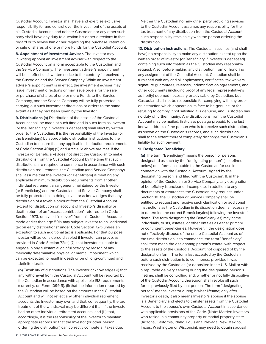Custodial Account. Investor shall have and exercise exclusive responsibility for and control over the investment of the assets of his Custodial Account, and neither Custodian nor any other such party shall have any duty to question his or her directions in that regard or to advise him or her regarding the purchase, retention or sale of shares of one or more Funds for the Custodial Account.

**8. Appointment of Investment Advisor.** The Investor may in writing appoint an investment adviser with respect to the Custodial Account on a form acceptable to the Custodian and the Service Company. The investment adviser's appointment will be in effect until written notice to the contrary is received by the Custodian and the Service Company. While an investment adviser's appointment is in effect, the investment adviser may issue investment directions or may issue orders for the sale or purchase of shares of one or more Funds to the Service Company, and the Service Company will be fully protected in carrying out such investment directions or orders to the same extent as if they had been given by the Investor.

**9. Distributions (a)** Distribution of the assets of the Custodial Account shall be made at such time and in such form as Investor (or the Beneficiary if Investor is deceased) shall elect by written order to the Custodian. It is the responsibility of the Investor (or the Beneficiary) by appropriate distribution instructions to the Custodian to ensure that any applicable distribution requirements of Code Section 401(a) (9) and Article IV above are met. If the Investor (or Beneficiary) does not direct the Custodian to make distributions from the Custodial Account by the time that such distributions are required to commence in accordance with such distribution requirements, the Custodian (and Service Company) shall assume that the Investor (or Beneficiary) is meeting any applicable minimum distribution requirements from another individual retirement arrangement maintained by the Investor (or Beneficiary) and the Custodian and Service Company shall be fully protected in so doing. Investor acknowledges that any distribution of a taxable amount from the Custodial Account (except for distribution on account of Investor's disability or death, return of an "excess contribution" referred to in Code Section 4973, or a valid "rollover" from this Custodial Account) made earlier than age 59½ may subject Investor to an "additional tax on early distributions" under Code Section 72(t) unless an exception to such additional tax is applicable. For that purpose, Investor will be considered disabled if Investor can prove, as provided in Code Section 72(m) (7), that Investor is unable to engage in any substantial gainful activity by reason of any medically determinable physical or mental impairment which can be expected to result in death or be of long-continued and indefinite duration.

**(b)** Taxability of distributions. The Investor acknowledges (i) that any withdrawal from the Custodial Account will be reported by the Custodian in accordance with applicable IRS requirements (currently, on Form 1099-R), (ii) that the information reported by the Custodian will be based on the amounts in the Custodial Account and will not reflect any other individual retirement accounts the Investor may own and that, consequently, the tax treatment of the withdrawal may be different than if the Investor had no other individual retirement accounts, and (iii) that, accordingly, it is the responsibility of the Investor to maintain appropriate records so that the Investor (or other person ordering the distribution) can correctly compute all taxes due.

Neither the Custodian nor any other party providing services to the Custodial Account assumes any responsibility for the tax treatment of any distribution from the Custodial Account; such responsibility rests solely with the person ordering the distribution.

**10. Distribution instructions.** The Custodian assumes (and shall have) no responsibility to make any distribution except upon the written order of Investor (or Beneficiary if Investor is deceased) containing such information as the Custodian may reasonably request. Also, before making any distribution from or honoring any assignment of the Custodial Account, Custodian shall be furnished with any and all applications, certificates, tax waivers, signature guarantees, releases, indemnification agreements, and other documents (including proof of any legal representative's authority) deemed necessary or advisable by Custodian, but Custodian shall not be responsible for complying with any order or instruction which appears on its face to be genuine, or for refusing to comply if not satisfied it is genuine, and Custodian has no duty of further inquiry. Any distributions from the Custodial Account may be mailed, first-class postage prepaid, to the last known address of the person who is to receive such distribution, as shown on the Custodian's records, and such distribution shall to the extent thereof completely discharge the Custodian's liability for such payment.

#### **11. Designated Beneficiary.**

**(a)** The term "Beneficiary" means the person or persons designated as such by the "designating person" (as defined below) on a form acceptable to the Custodian for use in connection with the Custodial Account, signed by the designating person, and filed with the Custodian. If, in the opinion of the Custodian or Service Company, any designation of beneficiary is unclear or incomplete, in addition to any documents or assurances the Custodian may request under Section 10, the Custodian or Service Company shall be entitled to request and receive such clarification or additional instructions as the Custodian in its discretion deems necessary to determine the correct Beneficiary(ies) following the Investor's death. The form designating the Beneficiary(ies) may name individuals, trusts, estates, or other entities as either primary or contingent beneficiaries. However, if the designation does not effectively dispose of the entire Custodial Account as of the time distribution is to commence, the term "Beneficiary" shall then mean the designating person's estate, with respect to the assets of the Custodial Account not disposed of by the designation form. The form last accepted by the Custodian before such distribution is to commence, provided it was received by the Custodian (or deposited in the U.S. Mail or with a reputable delivery service) during the designating person's lifetime, shall be controlling and, whether or not fully dispositive of the Custodial Account, thereupon shall revoke all such forms previously filed by that person. The term "designating person" means Investor during his/her lifetime; only after Investor's death, it also means Investor's spouse if the spouse is a Beneficiary and elects to transfer assets from the Custodial Account to the spouse's own Custodial Account in accordance with applicable provisions of the Code. [Note: Married Investors who reside in a community property or marital property state (Arizona, California, Idaho, Louisiana, Nevada, New Mexico, Texas, Washington or Wisconsin), may need to obtain spousal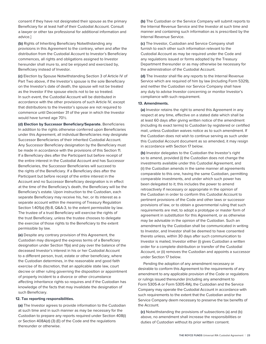consent if they have not designated their spouse as the primary Beneficiary for at least half of their Custodial Account. Consult a lawyer or other tax professional for additional information and advice.]

**(b)** Rights of Inheriting Beneficiary Notwithstanding any provisions in this Agreement to the contrary, when and after the distribution from the Custodial Account to Investor's Beneficiary commences, all rights and obligations assigned to Investor hereunder shall inure to, and be enjoyed and exercised by, Beneficiary instead of Investor.

**(c)** Election by Spouse Notwithstanding Section 3 of Article IV of Part Two above, if the Investor's spouse is the sole Beneficiary on the Investor's date of death, the spouse will not be treated as the Investor if the spouse elects not to be so treated. In such event, the Custodial Account will be distributed in accordance with the other provisions of such Article IV, except that distributions to the Investor's spouse are not required to commence until December 31 of the year in which the Investor would have turned age 70½.

**(d) Election by Successor Beneficiary/Separate.** Beneficiaries In addition to the rights otherwise conferred upon Beneficiaries under this Agreement, all individual Beneficiaries may designate Successor Beneficiaries of their inherited Custodial Account. Any Successor Beneficiary designation by the Beneficiary must be made in accordance with the provisions of this Section 11. If a Beneficiary dies after the Participant but before receipt of the entire interest in the Custodial Account and has Successor Beneficiaries, the Successor Beneficiaries will succeed to the rights of the Beneficiary. If a Beneficiary dies after the Participant but before receipt of the entire interest in the Account and no Successor Beneficiary designation is in effect at the time of the Beneficiary's death, the Beneficiary will be the Beneficiary's estate. Upon instruction to the Custodian, each separate Beneficiary may receive his, her, or its interest as a separate account within the meaning of Treasury Regulation Section 1.401(a) (9)-8, Q&A-3, to the extent permissible by law. The trustee of a trust Beneficiary will exercise the rights of the trust Beneficiary, unless the trustee chooses to delegate the exercise of those rights to the Beneficiary to the extent permissible by law.

**(e)** Despite any contrary provision of this Agreement, the Custodian may disregard the express terms of a Beneficiary designation under Section 11(a) and pay over the balance of the deceased Investor's interest in his or her Custodial Account to a different person, trust, estate or other beneficiary, where the Custodian determines, in the reasonable and good faith exercise of its discretion, that an applicable state law, court decree or other ruling governing the disposition or appointment of property incident to a divorce or other circumstance affecting inheritance rights so requires and if the Custodian has knowledge of the facts that may invalidate the designation of such Beneficiary.

#### **12. Tax reporting responsibilities.**

**(a)** The Investor agrees to provide information to the Custodian at such time and in such manner as may be necessary for the Custodian to prepare any reports required under Section 408(i) or Section 408A(d) (3) (E) of the Code and the regulations thereunder or otherwise.

**(b)** The Custodian or the Service Company will submit reports to the Internal Revenue Service and the Investor at such time and manner and containing such information as is prescribed by the Internal Revenue Service.

**(c)** The Investor, Custodian and Service Company shall furnish to each other such information relevant to the Custodial Account as may be required under the Code and any regulations issued or forms adopted by the Treasury Department thereunder or as may otherwise be necessary for the administration of the Custodial Account.

**(d)** The Investor shall file any reports to the Internal Revenue Service which are required of him by law (including Form 5329), and neither the Custodian nor Service Company shall have any duty to advise Investor concerning or monitor Investor's compliance with such requirement.

#### **13. Amendments.**

**(a)** Investor retains the right to amend this Agreement in any respect at any time, effective on a stated date which shall be at least 60 days after giving written notice of the amendment (including its exact terms) to Custodian by registered or certified mail, unless Custodian waives notice as to such amendment. If the Custodian does not wish to continue serving as such under this Custodial Account document as so amended, it may resign in accordance with Section 17 below.

**(b)** Investor delegates to the Custodian the Investor's right so to amend, provided (i) the Custodian does not change the investments available under this Custodial Agreement, and (ii) the Custodian amends in the same manner all agreements comparable to this one, having the same Custodian, permitting comparable investments, and under which such power has been delegated to it; this includes the power to amend retroactively if necessary or appropriate in the opinion of the Custodian in order to conform this Custodial Account to pertinent provisions of the Code and other laws or successor provisions of law, or to obtain a governmental ruling that such requirements are met, to adopt a prototype or master form of agreement in substitution for this Agreement, or as otherwise may be advisable in the opinion of the Custodian. Such an amendment by the Custodian shall be communicated in writing to Investor, and Investor shall be deemed to have consented thereto unless, within 30 days after such communication to Investor is mailed, Investor either (i) gives Custodian a written order for a complete distribution or transfer of the Custodial Account, or (ii) removes the Custodian and appoints a successor under Section 17 below.

Pending the adoption of any amendment necessary or desirable to conform this Agreement to the requirements of any amendment to any applicable provision of the Code or regulations or rulings issued thereunder (including any amendment to Form 5305-A or Form 5305-RA), the Custodian and the Service Company may operate the Custodial Account in accordance with such requirements to the extent that the Custodian and/or the Service Company deem necessary to preserve the tax benefits of the Account.

**(c)** Notwithstanding the provisions of subsections (a) and (b) above, no amendment shall increase the responsibilities or duties of Custodian without its prior written consent.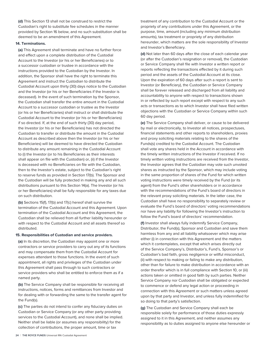**(d)** This Section 13 shall not be construed to restrict the Custodian's right to substitute fee schedules in the manner provided by Section 16 below, and no such substitution shall be deemed to be an amendment of this Agreement.

#### **14. Terminations.**

**(a)** This Agreement shall terminate and have no further force and effect upon a complete distribution of the Custodial Account to the Investor (or his or her Beneficiaries) or to a successor custodian or trustee in accordance with the instructions provided to the Custodian by the Investor. In addition, the Sponsor shall have the right to terminate this Agreement and instruct the Custodian to distribute the Custodial Account upon thirty (30) days notice to the Custodian and the Investor (or his or her Beneficiaries if the Investor is deceased). In the event of such termination by the Sponsor, the Custodian shall transfer the entire amount in the Custodial Account to a successor custodian or trustee as the Investor (or his or her Beneficiaries) shall instruct or shall distribute the Custodial Account to the Investor (or his or her Beneficiaries) if so directed. If, at the end of such thirty (30) day period, the Investor (or his or her Beneficiaries) has not directed the Custodian to transfer or distribute the amount in the Custodial Account as described above then the Investor (or his or her Beneficiaries) will be deemed to have directed the Custodian to distribute any amount remaining in the Custodial Account to (i) the Investor (or to his Beneficiaries as their interests shall appear on file with the Custodian) or, (ii) if the Investor is deceased with no Beneficiaries on file with the Custodian, then to the Investor's estate, subject to the Custodian's right to reserve funds as provided in Section 17(b). The Sponsor and the Custodian will be fully protected in making any and all such distributions pursuant to this Section 14(a). The Investor (or his or her Beneficiaries) shall be fully responsible for any taxes due on such distribution.

**(b)** Sections 15(f), 17(b) and 17(c) hereof shall survive the termination of the Custodial Account and this Agreement. Upon termination of the Custodial Account and this Agreement, the Custodian shall be relieved from all further liability hereunder or with respect to the Custodial Account and all assets thereof so distributed.

#### **15. Responsibilities of Custodian and service providers.**

**(a)** In its discretion, the Custodian may appoint one or more contractors or service providers to carry out any of its functions and may compensate them from the Custodial Account for expenses attendant to those functions. In the event of such appointment, all rights and privileges of the Custodian under this Agreement shall pass through to such contractors or service providers who shall be entitled to enforce them as if a named party.

**(b)** The Service Company shall be responsible for receiving all instructions, notices, forms and remittances from Investor and for dealing with or forwarding the same to the transfer agent for the Fund(s).

**(c)** The parties do not intend to confer any fiduciary duties on Custodian or Service Company (or any other party providing services to the Custodial Account), and none shall be implied. Neither shall be liable (or assumes any responsibility) for the collection of contributions, the proper amount, time or tax

treatment of any contribution to the Custodial Account or the propriety of any contributions under this Agreement, or the purpose, time, amount (including any minimum distribution amounts), tax treatment or propriety of any distribution hereunder, which matters are the sole responsibility of Investor and Investor's Beneficiary.

**(d)** Not later than 60 days after the close of each calendar year (or after the Custodian's resignation or removal), the Custodian or Service Company shall file with Investor a written report or reports reflecting the transactions effected by it during such period and the assets of the Custodial Account at its close. Upon the expiration of 60 days after such a report is sent to Investor (or Beneficiary), the Custodian or Service Company shall be forever released and discharged from all liability and accountability to anyone with respect to transactions shown in or reflected by such report except with respect to any such acts or transactions as to which Investor shall have filed written objections with the Custodian or Service Company within such 60 day period.

**(e)** The Service Company shall deliver, or cause to be delivered by mail or electronically, to Investor all notices, prospectuses, financial statements and other reports to shareholders, proxies and proxy soliciting materials relating to the shares of the Funds(s) credited to the Custodial Account. The Custodian shall vote any shares held in the Account in accordance with the timely written instructions of the Investor if received. If no timely written voting instructions are received from the Investor, the Investor agrees that the Custodian may vote such unvoted shares as instructed by the Sponsor, which may include voting in the same proportion of shares of the Fund for which written voting instructions were timely received by the Fund (or its agent) from the Fund's other shareholders or in accordance with the recommendations of the Fund's board of directors in the relevant proxy soliciting materials. In the latter case, the Custodian shall have no responsibility to separately review or evaluate the Fund's board of directors' voting recommendations nor have any liability for following the Investor's instruction to follow the Fund's board of directors' recommendation.

**(f)** Investor shall always fully indemnify Service Company, Distributor, the Fund(s), Sponsor and Custodian and save them harmless from any and all liability whatsoever which may arise either (i) in connection with this Agreement and the matters which it contemplates, except that which arises directly out of the Service Company's, Distributor's, Fund's, Sponsor's or Custodian's bad faith, gross negligence or willful misconduct, (ii) with respect to making or failing to make any distribution, other than for failure to make distribution in accordance with an order therefor which is in full compliance with Section 10, or (iii) actions taken or omitted in good faith by such parties. Neither Service Company nor Custodian shall be obligated or expected to commence or defend any legal action or proceeding in connection with this Agreement or such matters unless agreed upon by that party and Investor, and unless fully indemnified for so doing to that party's satisfaction.

**(g)** The Custodian and Service Company shall each be responsible solely for performance of those duties expressly assigned to it in this Agreement, and neither assumes any responsibility as to duties assigned to anyone else hereunder or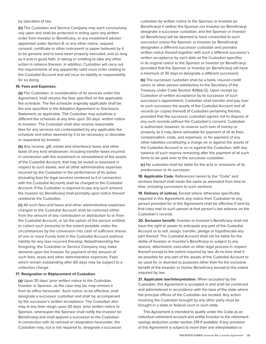by operation of law.

**(h)** The Custodian and Service Company may each conclusively rely upon and shall be protected in acting upon any written order from Investor or Beneficiary, or any investment adviser appointed under Section 8, or any other notice, request, consent, certificate or other instrument or paper believed by it to be genuine and to have been properly executed, and so long as it acts in good faith, in taking or omitting to take any other action in reliance thereon. In addition, Custodian will carry out the requirements of any apparently valid court order relating to the Custodial Account and will incur no liability or responsibility for so doing.

#### **16. Fees and Expenses.**

**(a)** The Custodian, in consideration of its services under this Agreement, shall receive the fees specified on the applicable fee schedule. The fee schedule originally applicable shall be the one specified in the Adoption Agreement or Disclosure Statement, as applicable. The Custodian may substitute a different fee schedule at any time upon 30 days' written notice to Investor. The Custodian shall also receive reasonable fees for any services not contemplated by any applicable fee schedule and either deemed by it to be necessary or desirable or requested by Investor.

**(b)** Any income, gift, estate and inheritance taxes and other taxes of any kind whatsoever, including transfer taxes incurred in connection with the investment or reinvestment of the assets of the Custodial Account, that may be levied or assessed in respect to such assets, and all other administrative expenses incurred by the Custodian in the performance of its duties (including fees for legal services rendered to it in connection with the Custodial Account) shall be charged to the Custodial Account. If the Custodian is required to pay any such amount, the Investor (or Beneficiary) shall promptly upon notice thereof reimburse the Custodian.

**(c)** All such fees and taxes and other administrative expenses charged to the Custodial Account shall be collected either from the amount of any contribution or distribution to or from the Custodial Account, or (at the option of the person entitled to collect such amounts) to the extent possible under the circumstances by the conversion into cash of sufficient shares of one or more Funds held in the Custodial Account (without liability for any loss incurred thereby). Notwithstanding the foregoing, the Custodian or Service Company may make demand upon the Investor for payment of the amount of such fees, taxes and other administrative expenses. Fees which remain outstanding after 60 days may be subject to a collection charge.

#### **17. Resignation or Replacement of Custodian.**

**(a)** Upon 30 days' prior written notice to the Custodian, Investor or Sponsor, as the case may be, may remove it from its office hereunder. Such notice, to be effective, shall designate a successor custodian and shall be accompanied by the successor's written acceptance. The Custodian also may at any time resign upon 30 days' prior written notice to Sponsor, whereupon the Sponsor shall notify the Investor (or Beneficiary) and shall appoint a successor to the Custodian. In connection with its removal or resignation hereunder, the Custodian may, but is not required to, designate a successor

custodian by written notice to the Sponsor or Investor (or Beneficiary) if neither the Sponsor nor Investor (or Beneficiary) designate a successor custodian, and the Sponsor or Investor (or Beneficiary) will be deemed to have consented to such successor unless the Sponsor or Investor (or Beneficiary) designates a different successor custodian and provides written notice thereof together with such a different successor's written acceptance by such date as the Custodian specifies in its original notice to the Sponsor or Investor (or Beneficiary) (provided that the Sponsor or Investor (or Beneficiary) will have a minimum of 30 days to designate a different successor).

**(b)** The successor custodian shall be a bank, insured credit union, or other person satisfactory to the Secretary of the Treasury under Code Section 408(a) (2). Upon receipt by Custodian of written acceptance by its successor of such successor's appointment, Custodian shall transfer and pay over to such successor the assets of the Custodial Account and all records (or copies thereof) of Custodian pertaining thereto, provided that the successor custodian agrees not to dispose of any such records without the Custodian's consent. Custodian is authorized, however, to reserve such sum of money or property as it may deem advisable for payment of all its fees, compensation, costs, and expenses, or for payment of any other liabilities constituting a charge on or against the assets of the Custodial Account or on or against the Custodian, with any balance of such reserve remaining after the payment of all such items to be paid over to the successor custodian.

**(c)** No custodian shall be liable for the acts or omissions of its predecessor or its successor.

**18. Applicable Code.** References herein to the "Code" and sections thereof shall mean the same as amended from time to time, including successors to such sections.

**19. Delivery of notices.** Except where otherwise specifically required in this Agreement, any notice from Custodian to any person provided for in this Agreement shall be effective if sent by first-class mail to such person at that person's last address on the Custodian's records.

**20. Exclusive benefit.** Investor or Investor's Beneficiary shall not have the right or power to anticipate any part of the Custodial Account or to sell, assign, transfer, pledge or hypothecate any part thereof. The Custodial Account shall not be liable for the debts of Investor or Investor's Beneficiary or subject to any seizure, attachment, execution or other legal process in respect thereof except to the extent required by law. At no time shall it be possible for any part of the assets of the Custodial Account to be used for or diverted to purposes other than for the exclusive benefit of the Investor or his/her Beneficiary except to the extent required by law.

**21. Applicable law/Interpretation.** When accepted by the Custodian, this Agreement is accepted in and shall be construed and administered in accordance with the laws of the state where the principal offices of the Custodian are located. Any action involving the Custodian brought by any other party must be brought in a state or federal court in such state.

This Agreement is intended to qualify under the Code as an individual retirement account and entitle Investor to the retirement savings deduction under section 219 if available. If any provision of this Agreement is subject to more than one interpretation or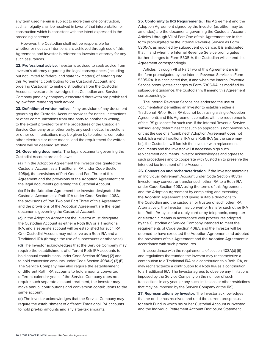any term used herein is subject to more than one construction, such ambiguity shall be resolved in favor of that interpretation or construction which is consistent with the intent expressed in the preceding sentence.

However, the Custodian shall not be responsible for whether or not such intentions are achieved through use of this Agreement, and Investor is referred to Investor's attorney for any such assurances.

**22. Professional advice.** Investor is advised to seek advice from Investor's attorney regarding the legal consequences (including but not limited to federal and state tax matters) of entering into this Agreement, contributing to the Custodial Account, and ordering Custodian to make distributions from the Custodial Account. Investor acknowledges that Custodian and Service Company (and any company associated therewith) are prohibited by law from rendering such advice.

**23. Definition of written notice.** If any provision of any document governing the Custodial Account provides for notice, instructions or other communications from one party to another in writing, to the extent provided for in the procedures of the Custodian, Service Company or another party, any such notice, instructions or other communications may be given by telephonic, computer, other electronic or other means, and the requirement for written notice will be deemed satisfied.

**24. Governing documents.** The legal documents governing the Custodial Account are as follows:

**(a)** If in the Adoption Agreement the Investor designated the Custodial Account as a Traditional IRA under Code Section 408(a), the provisions of Part One and Part Three of this Agreement and the provisions of the Adoption Agreement are the legal documents governing the Custodial Account.

**(b)** If in the Adoption Agreement the Investor designated the Custodial Account as a Roth IRA under Code Section 408A, the provisions of Part Two and Part Three of this Agreement and the provisions of the Adoption Agreement are the legal documents governing the Custodial Account.

**(c)** In the Adoption Agreement the Investor must designate the Custodian Account as either a Roth IRA or a Traditional IRA, and a separate account will be established for such IRA. One Custodial Account may not serve as a Roth IRA and a Traditional IRA (through the use of subaccounts or otherwise).

**(d)** The Investor acknowledges that the Service Company may require the establishment of different Roth IRA accounts to hold annual contributions under Code Section 408A(c) (2) and to hold conversion amounts under Code Section 408A(c) (3) (B). The Service Company may also require the establishment of different Roth IRA accounts to hold amounts converted in different calendar years. If the Service Company does not require such separate account treatment, the Investor may make annual contributions and conversion contributions to the same account.

**(e)** The Investor acknowledges that the Service Company may require the establishment of different Traditional IRA accounts to hold pre-tax amounts and any after-tax amounts.

**25. Conformity to IRS Requirements.** This Agreement and the Adoption Agreement signed by the Investor (as either may be amended) are the documents governing the Custodial Account. Articles I through VII of Part One of this Agreement are in the form promulgated by the Internal Revenue Service as Form 5305-A, as modified by subsequent guidance. It is anticipated that, if and when the Internal Revenue Service promulgates further changes to Form 5305-A, the Custodian will amend this Agreement correspondingly.

Articles I through VII of Part Two of this Agreement are in the form promulgated by the Internal Revenue Service as Form 5305-RA. It is anticipated that, if and when the Internal Revenue Service promulgates changes to Form 5305-RA, as modified by subsequent guidance, the Custodian will amend this Agreement correspondingly.

The Internal Revenue Service has endorsed the use of documentation permitting an Investor to establish either a Traditional IRA or Roth IRA (but not both using a single Adoption Agreement), and this Agreement complies with the requirements of the IRS guidance for such use. If the Internal Revenue Service subsequently determines that such an approach is not permissible, or that the use of a "combined" Adoption Agreement does not establish a valid Traditional IRA or a Roth IRA (as the case may be), the Custodian will furnish the Investor with replacement documents and the Investor will if necessary sign such replacement documents. Investor acknowledges and agrees to such procedures and to cooperate with Custodian to preserve the intended tax treatment of the Account.

**26. Conversion and recharacterization.** If the Investor maintains an Individual Retirement Account under Code Section 408(a), Investor may convert or transfer such other IRA to a Roth IRA under Code Section 408A using the terms of this Agreement and the Adoption Agreement by completing and executing the Adoption Agreement and giving suitable directions to the Custodian and the custodian or trustee of such other IRA. Alternatively, the Investor may convert or transfer such other IRA to a Roth IRA by use of a reply card or by telephonic, computer or electronic means in accordance with procedures adopted by the Custodian or Service Company intended to meet the requirements of Code Section 408A, and the Investor will be deemed to have executed the Adoption Agreement and adopted the provisions of this Agreement and the Adoption Agreement in accordance with such procedures.

In accordance with the requirements of section 408A(d) (6) and regulations thereunder, the Investor may recharacterize a contribution to a Traditional IRA as a contribution to a Roth IRA, or may recharacterize a contribution to a Roth IRA as a contribution to a Traditional IRA. The Investor agrees to observe any limitations imposed by the Service Company on the number of such transactions in any year (or any such limitations or other restrictions that may be imposed by the Service Company or the IRS).

**27. Representations by Investor.** The Investor acknowledges that he or she has received and read the current prospectus for each Fund in which his or her Custodial Account is invested and the Individual Retirement Account Disclosure Statement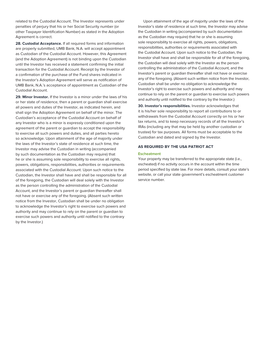related to the Custodial Account. The Investor represents under penalties of perjury that his or her Social Security number (or other Taxpayer Identification Number) as stated in the Adoption Agreement is correct.

**28. Custodial Acceptance.** If all required forms and information are properly submitted, UMB Bank, N.A. will accept appointment as Custodian of the Custodial Account. However, this Agreement (and the Adoption Agreement) is not binding upon the Custodian until the Investor has received a statement confirming the initial transaction for the Custodial Account. Receipt by the Investor of a confirmation of the purchase of the Fund shares indicated in the Investor's Adoption Agreement will serve as notification of UMB Bank, N.A.'s acceptance of appointment as Custodian of the Custodial Account.

**29. Minor Investor.** If the Investor is a minor under the laws of his or her state of residence, then a parent or guardian shall exercise all powers and duties of the Investor, as indicated herein, and shall sign the Adoption Agreement on behalf of the minor. The Custodian's acceptance of the Custodial Account on behalf of any Investor who is a minor is expressly conditioned upon the agreement of the parent or guardian to accept the responsibility to exercise all such powers and duties, and all parties hereto so acknowledge. Upon attainment of the age of majority under the laws of the Investor's state of residence at such time, the Investor may advise the Custodian in writing (accompanied by such documentation as the Custodian may require) that he or she is assuming sole responsibility to exercise all rights, powers, obligations, responsibilities, authorities or requirements associated with the Custodial Account. Upon such notice to the Custodian, the Investor shall have and shall be responsible for all of the foregoing, the Custodian will deal solely with the Investor as the person controlling the administration of the Custodial Account, and the Investor's parent or guardian thereafter shall not have or exercise any of the foregoing. (Absent such written notice from the Investor, Custodian shall be under no obligation to acknowledge the Investor's right to exercise such powers and authority and may continue to rely on the parent or guardian to exercise such powers and authority until notified to the contrary by the Investor.)

Upon attainment of the age of majority under the laws of the Investor's state of residence at such time, the Investor may advise the Custodian in writing (accompanied by such documentation as the Custodian may require) that he or she is assuming sole responsibility to exercise all rights, powers, obligations, responsibilities, authorities or requirements associated with the Custodial Account. Upon such notice to the Custodian, the Investor shall have and shall be responsible for all of the foregoing, the Custodian will deal solely with the Investor as the person controlling the administration of the Custodial Account, and the Investor's parent or guardian thereafter shall not have or exercise any of the foregoing. (Absent such written notice from the Investor, Custodian shall be under no obligation to acknowledge the Investor's right to exercise such powers and authority and may continue to rely on the parent or guardian to exercise such powers and authority until notified to the contrary by the Investor.)

**30. Investor's responsibilities.** Investor acknowledges that it is his/her sole responsibility to report all contributions to or withdrawals from the Custodial Account correctly on his or her tax returns, and to keep necessary records of all the Investor's IRAs (including any that may be held by another custodian or trustee) for tax purposes. All forms must be acceptable to the Custodian and dated and signed by the Investor.

#### **AS REQUIRED BY THE USA PATRIOT ACT**

#### **Escheatment**

Your property may be transferred to the appropriate state (i.e., escheated) if no activity occurs in the account within the time period specified by state law. For more details, consult your state's website, or call your state government's escheatment customer service number.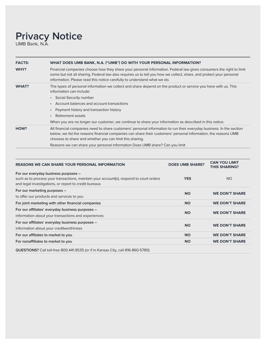# **Privacy Notice**

UMB Bank, N.A.

| <b>FACTS:</b> | WHAT DOES UMB BANK, N.A. ("UMB") DO WITH YOUR PERSONAL INFORMATION?                                                                                                                                                                                                                                                                                                                                                        |
|---------------|----------------------------------------------------------------------------------------------------------------------------------------------------------------------------------------------------------------------------------------------------------------------------------------------------------------------------------------------------------------------------------------------------------------------------|
| WHY?          | Financial companies choose how they share your personal information. Federal law gives consumers the right to limit<br>some but not all sharing. Federal law also requires us to tell you how we collect, share, and protect your personal<br>information. Please read this notice carefully to understand what we do.                                                                                                     |
| <b>WHAT?</b>  | The types of personal information we collect and share depend on the product or service you have with us. This<br>information can include:<br>• Social Security number<br>• Account balances and account transactions<br>Payment history and transaction history<br>$\bullet$<br>Retirement assets<br>$\bullet$<br>When you are no longer our customer, we continue to share your information as described in this notice. |
| HOW?          | All financial companies need to share customers' personal information to run their everyday business. In the section<br>below, we list the reasons financial companies can share their customers' personal information, the reasons UMB                                                                                                                                                                                    |
|               | chooses to share and whether you can limit this sharing.<br>Reasons we can share your personal information Does UMB share? Can you limit                                                                                                                                                                                                                                                                                   |

| <b>REASONS WE CAN SHARE YOUR PERSONAL INFORMATION</b>                                                                                                                                    | <b>DOES UMB SHARE?</b> | <b>CAN YOU LIMIT</b><br><b>THIS SHARING?</b> |
|------------------------------------------------------------------------------------------------------------------------------------------------------------------------------------------|------------------------|----------------------------------------------|
| For our everyday business purposes -<br>such as to process your transactions, maintain your account(s), respond to court orders<br>and legal investigations, or report to credit bureaus | <b>YES</b>             | <b>NO</b>                                    |
| For our marketing purposes -<br>to offer our products and services to you                                                                                                                | <b>NO</b>              | <b>WE DON'T SHARE</b>                        |
| For joint marketing with other financial companies                                                                                                                                       | <b>NO</b>              | <b>WE DON'T SHARE</b>                        |
| For our affiliates' everyday business purposes -<br>information about your transactions and experiences                                                                                  | <b>NO</b>              | <b>WE DON'T SHARE</b>                        |
| For our affiliates' everyday business purposes -<br>information about your creditworthiness                                                                                              | <b>NO</b>              | <b>WE DON'T SHARE</b>                        |
| For our affiliates to market to you                                                                                                                                                      | <b>NO</b>              | <b>WE DON'T SHARE</b>                        |
| For nonaffiliates to market to you                                                                                                                                                       | <b>NO</b>              | <b>WE DON'T SHARE</b>                        |
| QUESTIONS? Call toll-free 800.441.9535 (or if in Kansas City, call 816-860-5780)                                                                                                         |                        |                                              |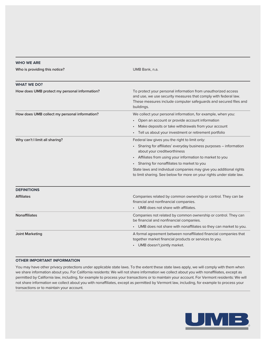| <b>WHO WE ARE</b>                             |                                                                                                                                                                                                                    |  |
|-----------------------------------------------|--------------------------------------------------------------------------------------------------------------------------------------------------------------------------------------------------------------------|--|
| Who is providing this notice?                 | UMB Bank, n.a.                                                                                                                                                                                                     |  |
| <b>WHAT WE DO?</b>                            |                                                                                                                                                                                                                    |  |
| How does UMB protect my personal information? | To protect your personal information from unauthorized access<br>and use, we use security measures that comply with federal law.<br>These measures include computer safeguards and secured files and<br>buildings. |  |
| How does UMB collect my personal information? | We collect your personal information, for example, when you:                                                                                                                                                       |  |
|                                               | Open an account or provide account information                                                                                                                                                                     |  |
|                                               | Make deposits or take withdrawals from your account                                                                                                                                                                |  |
|                                               | Tell us about your investment or retirement portfolio                                                                                                                                                              |  |
| Why can't I limit all sharing?                | Federal law gives you the right to limit only:                                                                                                                                                                     |  |
|                                               | Sharing for affiliates' everyday business purposes - information<br>about your creditworthiness                                                                                                                    |  |
|                                               | Affiliates from using your information to market to you<br>$\bullet$                                                                                                                                               |  |
|                                               | • Sharing for nonaffiliates to market to you                                                                                                                                                                       |  |
|                                               | State laws and individual companies may give you additional rights<br>to limit sharing. See below for more on your rights under state law.                                                                         |  |
| <b>DEFINITIONS</b>                            |                                                                                                                                                                                                                    |  |
| <b>Affiliates</b>                             | Companies related by common ownership or control. They can be<br>financial and nonfinancial companies.                                                                                                             |  |
|                                               | UMB does not share with affiliates.                                                                                                                                                                                |  |
| <b>Nonaffiliates</b>                          | Companies not related by common ownership or control. They can<br>be financial and nonfinancial companies.                                                                                                         |  |
|                                               | • UMB does not share with nonaffiliates so they can market to you.                                                                                                                                                 |  |
| <b>Joint Marketing</b>                        | A formal agreement between nonaffiliated financial companies that<br>together market financial products or services to you.<br>• UMB doesn't jointly market.                                                       |  |
|                                               |                                                                                                                                                                                                                    |  |

#### **OTHER IMPORTANT INFORMATION**

You may have other privacy protections under applicable state laws. To the extent these state laws apply, we will comply with them when we share information about you. For California residents: We will not share information we collect about you with nonaffiliates, except as permitted by California law, including, for example to process your transactions or to maintain your account. For Vermont residents: We will not share information we collect about you with nonaffiliates, except as permitted by Vermont law, including, for example to process your transactions or to maintain your account.